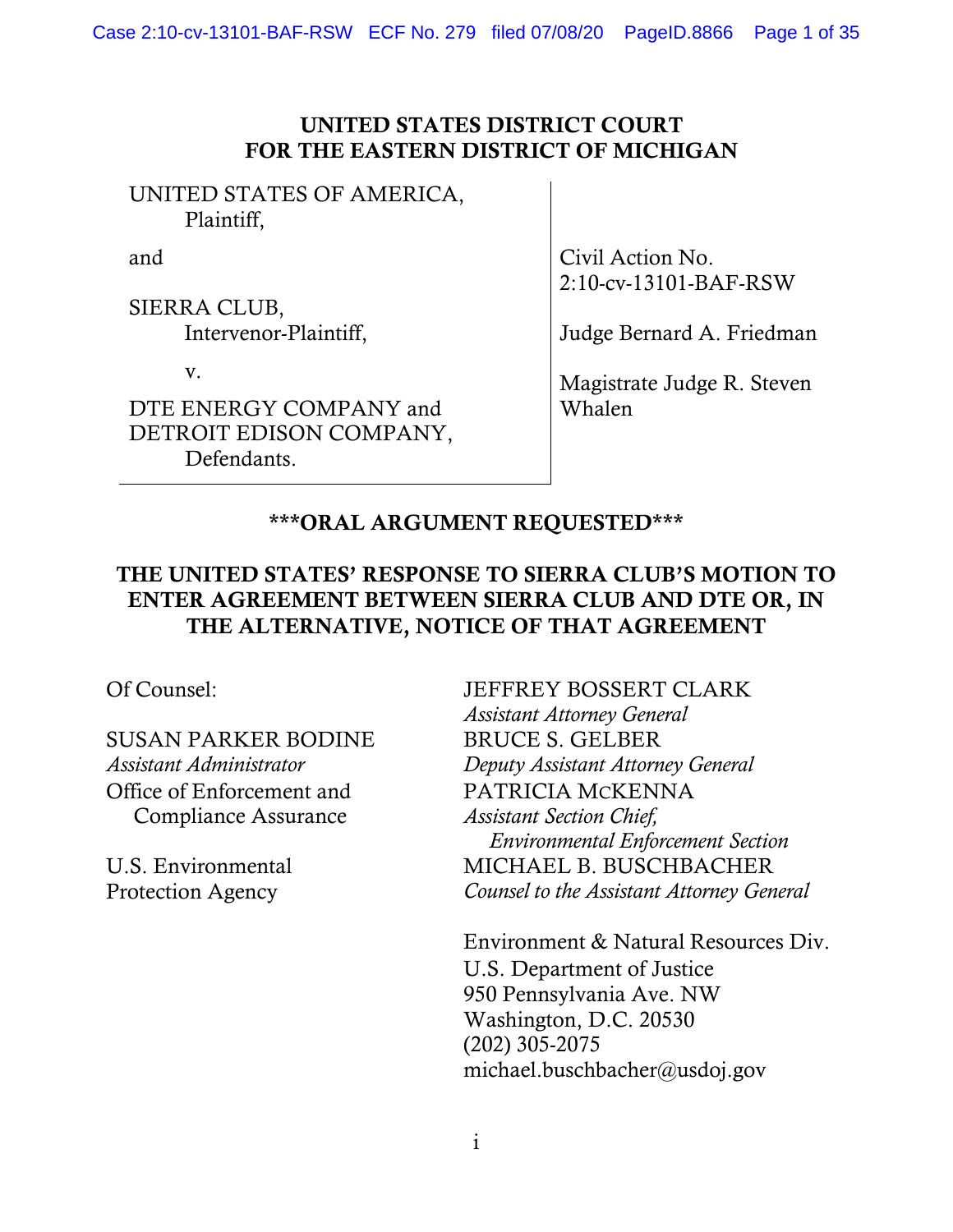### UNITED STATES DISTRICT COURT FOR THE EASTERN DISTRICT OF MICHIGAN

UNITED STATES OF AMERICA, Plaintiff,

and

SIERRA CLUB, Intervenor-Plaintiff,

v.

DTE ENERGY COMPANY and DETROIT EDISON COMPANY, Defendants.

Civil Action No. 2:10-cv-13101-BAF-RSW

Judge Bernard A. Friedman

Magistrate Judge R. Steven Whalen

# \*\*\*ORAL ARGUMENT REQUESTED\*\*\*

## THE UNITED STATES' RESPONSE TO SIERRA CLUB'S MOTION TO ENTER AGREEMENT BETWEEN SIERRA CLUB AND DTE OR, IN THE ALTERNATIVE, NOTICE OF THAT AGREEMENT

SUSAN PARKER BODINE *Assistant Administrator* Office of Enforcement and Compliance Assurance

U.S. Environmental Protection Agency

Of Counsel: JEFFREY BOSSERT CLARK *Assistant Attorney General* BRUCE S. GELBER *Deputy Assistant Attorney General*  PATRICIA MCKENNA *Assistant Section Chief, Environmental Enforcement Section*  MICHAEL B. BUSCHBACHER *Counsel to the Assistant Attorney General* 

> Environment & Natural Resources Div. U.S. Department of Justice 950 Pennsylvania Ave. NW Washington, D.C. 20530 (202) 305-2075 michael.buschbacher@usdoj.gov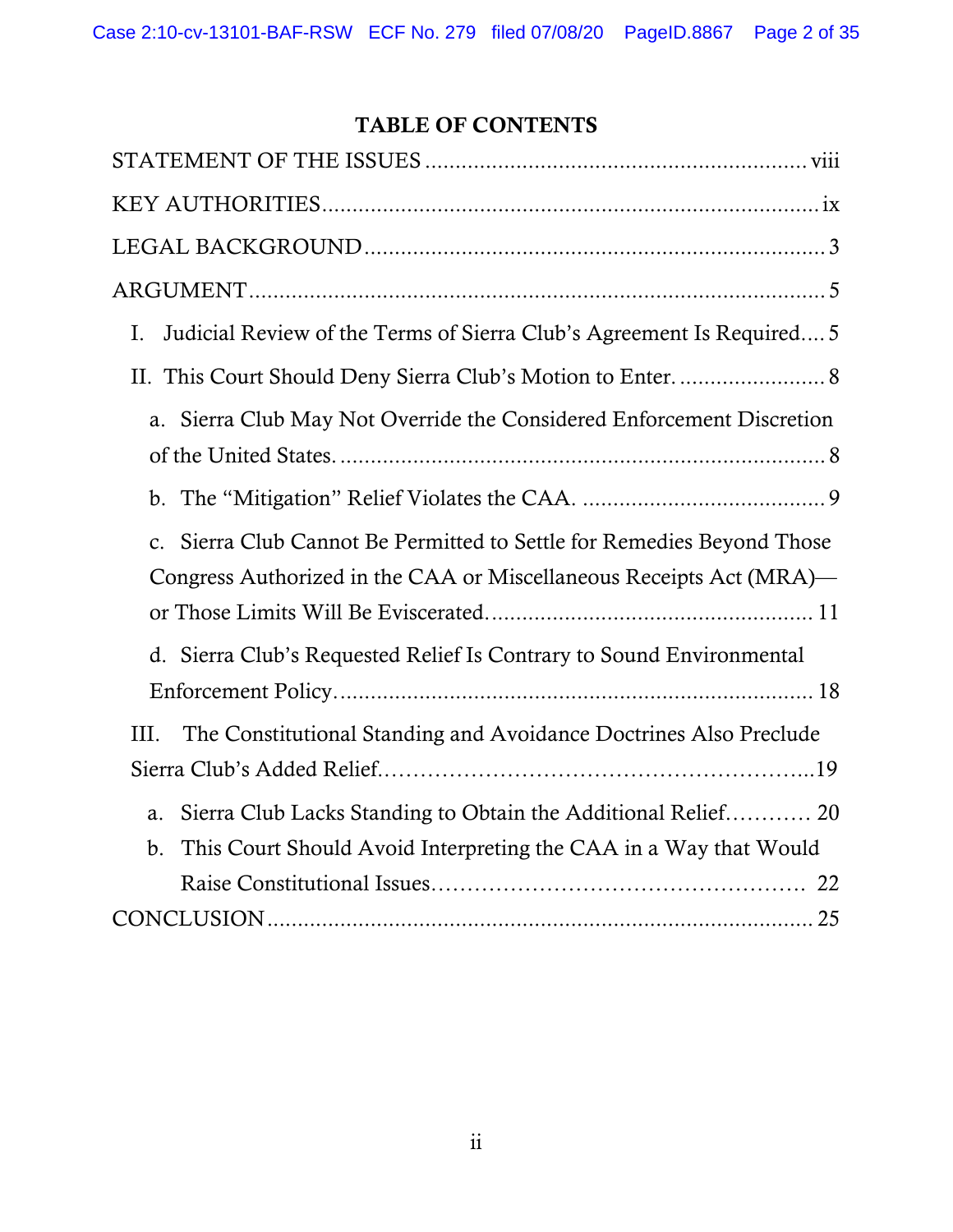# TABLE OF CONTENTS

| Judicial Review of the Terms of Sierra Club's Agreement Is Required 5<br>I.                                                                   |
|-----------------------------------------------------------------------------------------------------------------------------------------------|
| II. This Court Should Deny Sierra Club's Motion to Enter.  8                                                                                  |
| a. Sierra Club May Not Override the Considered Enforcement Discretion                                                                         |
|                                                                                                                                               |
| c. Sierra Club Cannot Be Permitted to Settle for Remedies Beyond Those<br>Congress Authorized in the CAA or Miscellaneous Receipts Act (MRA)— |
| d. Sierra Club's Requested Relief Is Contrary to Sound Environmental                                                                          |
| The Constitutional Standing and Avoidance Doctrines Also Preclude<br>III.                                                                     |
| Sierra Club Lacks Standing to Obtain the Additional Relief 20<br>a.<br>This Court Should Avoid Interpreting the CAA in a Way that Would<br>b. |
|                                                                                                                                               |
|                                                                                                                                               |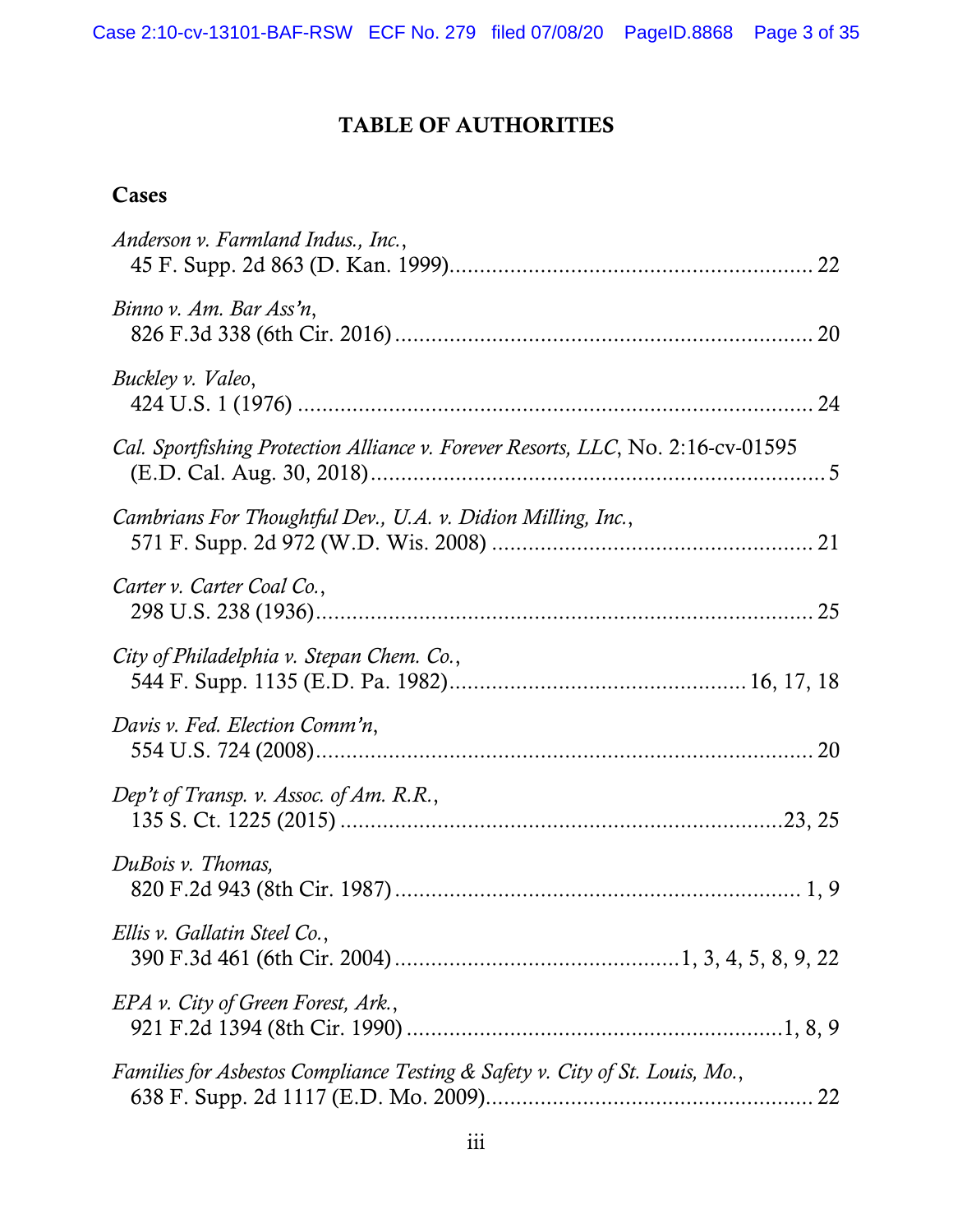# TABLE OF AUTHORITIES

## **Cases**

| Anderson v. Farmland Indus., Inc.,                                               |
|----------------------------------------------------------------------------------|
| Binno v. Am. Bar Ass'n,                                                          |
| Buckley v. Valeo,                                                                |
| Cal. Sportfishing Protection Alliance v. Forever Resorts, LLC, No. 2:16-cv-01595 |
| Cambrians For Thoughtful Dev., U.A. v. Didion Milling, Inc.,                     |
| Carter v. Carter Coal Co.,                                                       |
| City of Philadelphia v. Stepan Chem. Co.,                                        |
| Davis v. Fed. Election Comm'n,                                                   |
| Dep't of Transp. v. Assoc. of Am. R.R.,                                          |
| DuBois v. Thomas,                                                                |
| Ellis v. Gallatin Steel Co.,                                                     |
| EPA v. City of Green Forest, Ark.,                                               |
| Families for Asbestos Compliance Testing & Safety v. City of St. Louis, Mo.,     |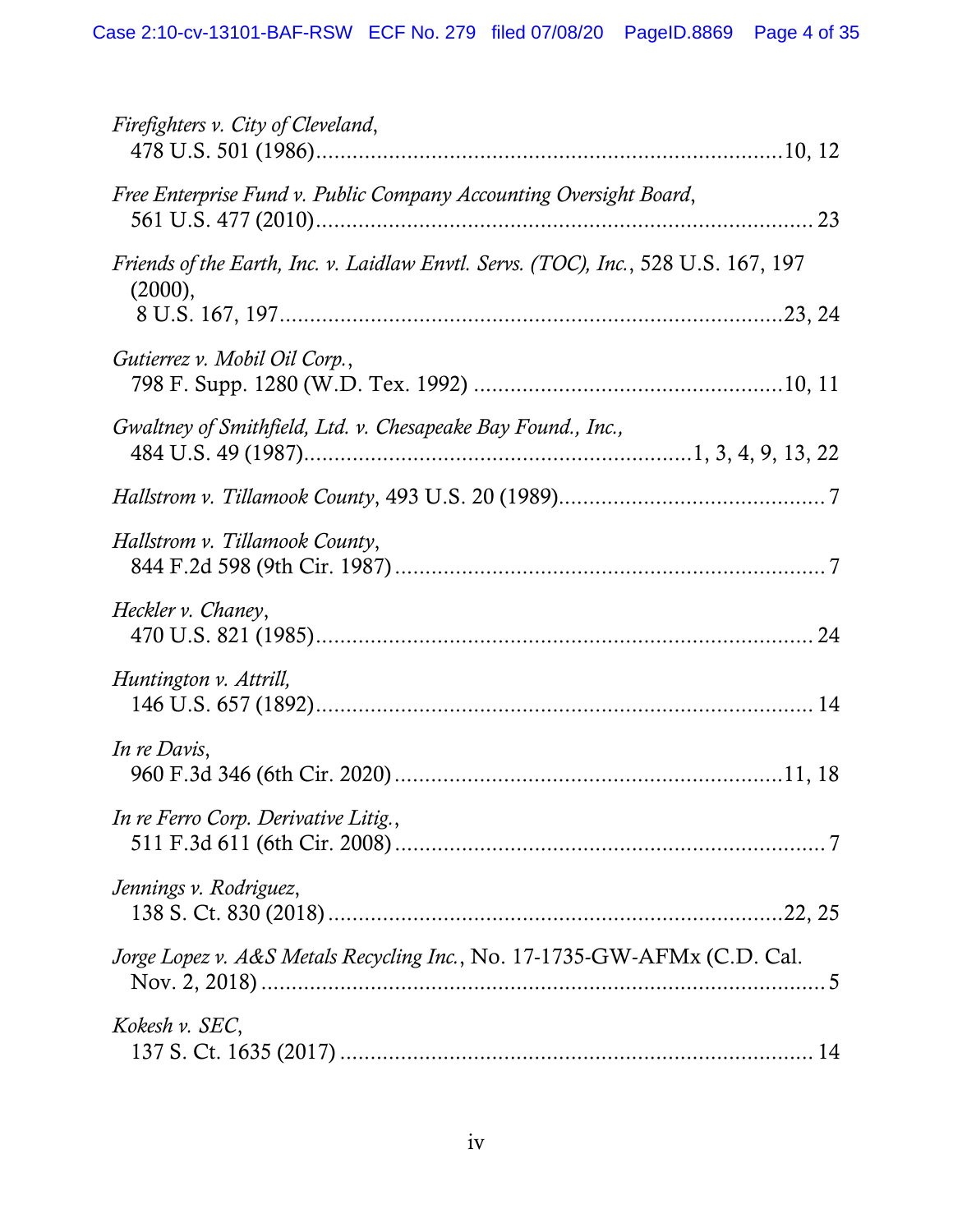| Firefighters v. City of Cleveland,                                                            |
|-----------------------------------------------------------------------------------------------|
| Free Enterprise Fund v. Public Company Accounting Oversight Board,                            |
| Friends of the Earth, Inc. v. Laidlaw Envtl. Servs. (TOC), Inc., 528 U.S. 167, 197<br>(2000), |
| Gutierrez v. Mobil Oil Corp.,                                                                 |
| Gwaltney of Smithfield, Ltd. v. Chesapeake Bay Found., Inc.,                                  |
|                                                                                               |
| Hallstrom v. Tillamook County,                                                                |
| Heckler v. Chaney,                                                                            |
| Huntington v. Attrill,                                                                        |
| In re Davis,                                                                                  |
| In re Ferro Corp. Derivative Litig.,                                                          |
| Jennings v. Rodriguez,                                                                        |
| Jorge Lopez v. A&S Metals Recycling Inc., No. 17-1735-GW-AFMx (C.D. Cal.                      |
| Kokesh v. SEC,                                                                                |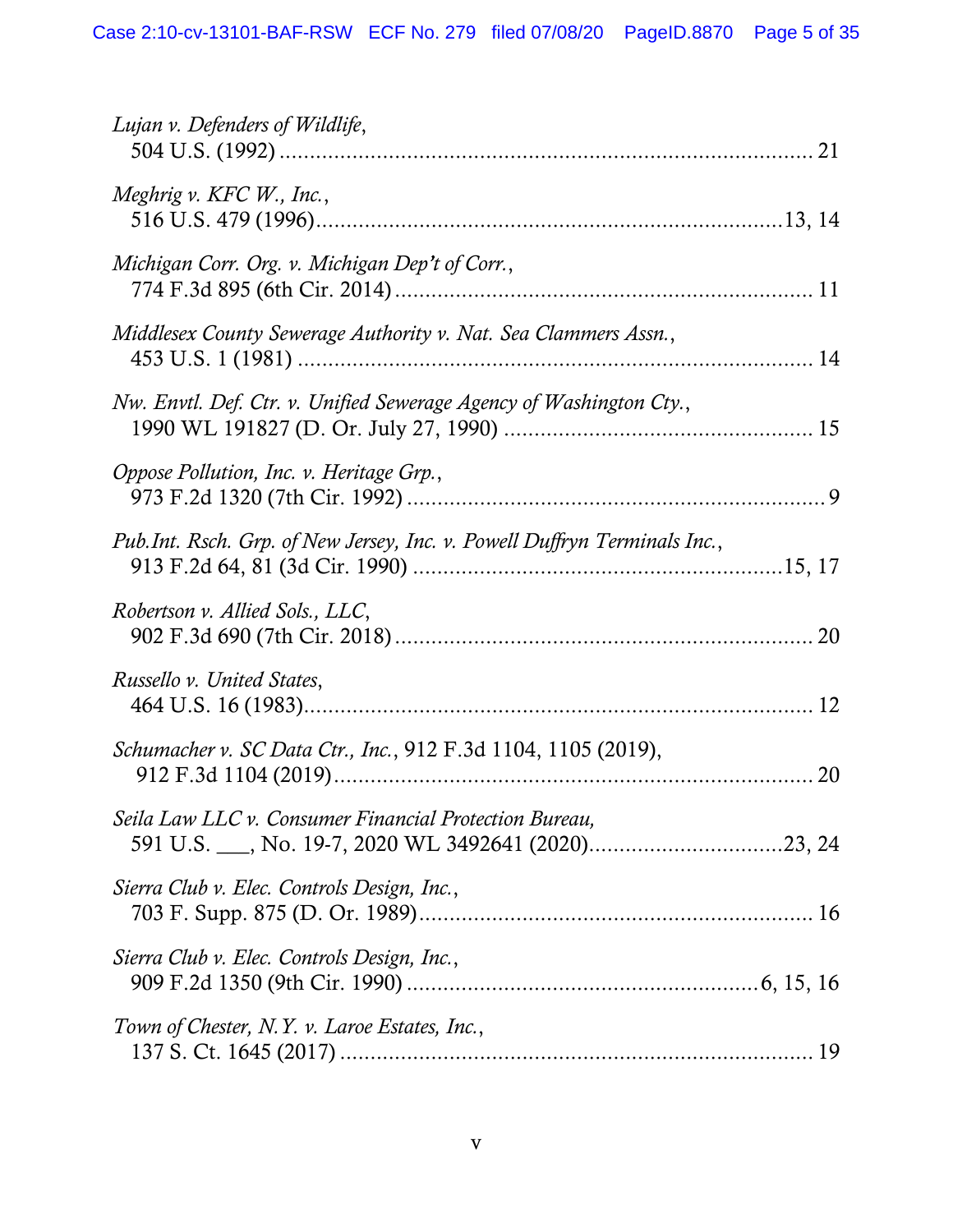| Lujan v. Defenders of Wildlife,                                           |  |
|---------------------------------------------------------------------------|--|
| Meghrig v. KFC W., Inc.,                                                  |  |
| Michigan Corr. Org. v. Michigan Dep't of Corr.,                           |  |
| Middlesex County Sewerage Authority v. Nat. Sea Clammers Assn.,           |  |
| Nw. Envtl. Def. Ctr. v. Unified Sewerage Agency of Washington Cty.,       |  |
| Oppose Pollution, Inc. v. Heritage Grp.,                                  |  |
| Pub.Int. Rsch. Grp. of New Jersey, Inc. v. Powell Duffryn Terminals Inc., |  |
| Robertson v. Allied Sols., LLC,                                           |  |
| Russello v. United States,                                                |  |
| Schumacher v. SC Data Ctr., Inc., 912 F.3d 1104, 1105 (2019),             |  |
| Seila Law LLC v. Consumer Financial Protection Bureau,                    |  |
| Sierra Club v. Elec. Controls Design, Inc.,                               |  |
| Sierra Club v. Elec. Controls Design, Inc.,                               |  |
| Town of Chester, N.Y. v. Laroe Estates, Inc.,                             |  |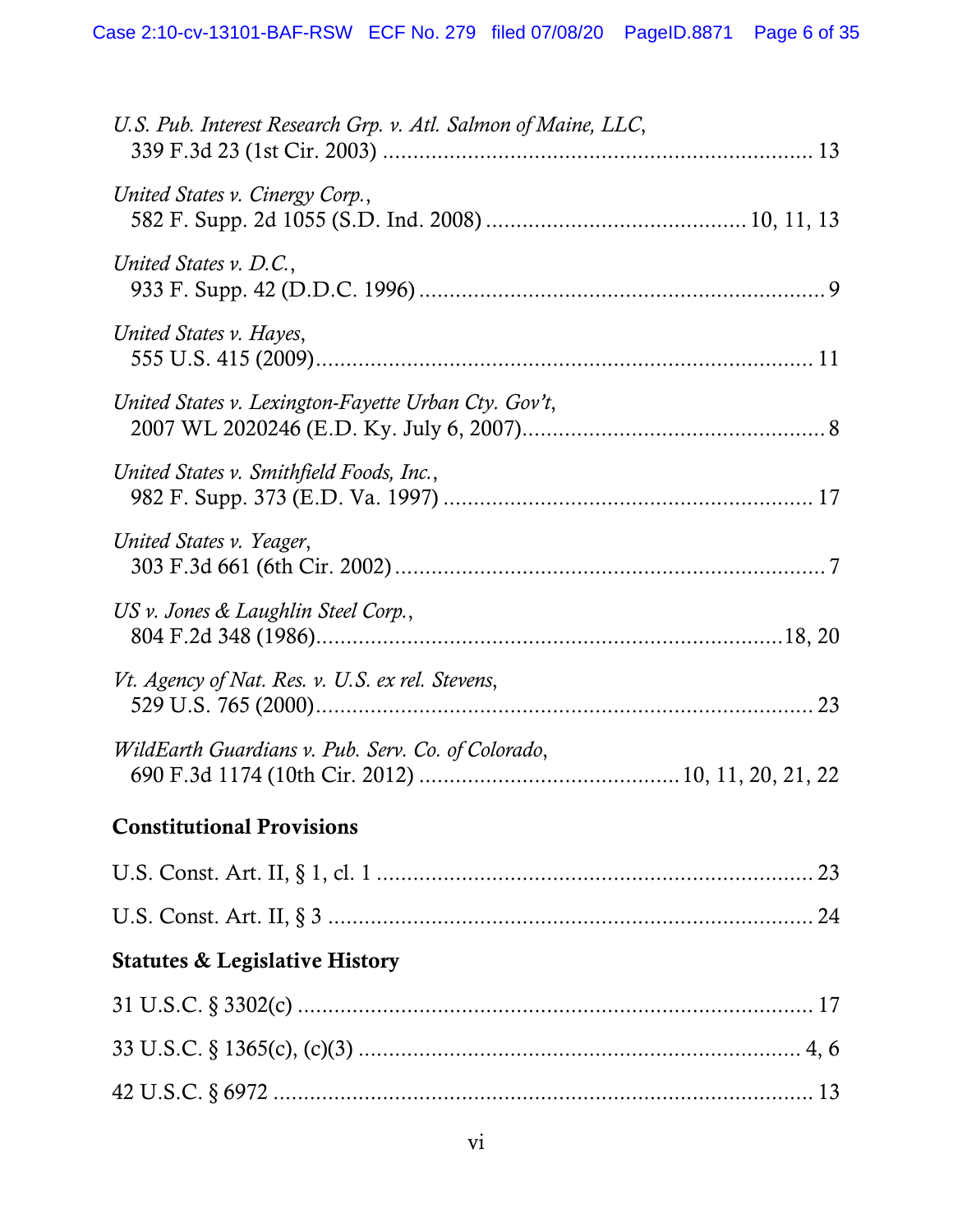| <b>Statutes &amp; Legislative History</b>                      |
|----------------------------------------------------------------|
|                                                                |
|                                                                |
| <b>Constitutional Provisions</b>                               |
| WildEarth Guardians v. Pub. Serv. Co. of Colorado,             |
| Vt. Agency of Nat. Res. v. U.S. ex rel. Stevens,               |
| US v. Jones & Laughlin Steel Corp.,                            |
| United States v. Yeager,                                       |
| United States v. Smithfield Foods, Inc.,                       |
| United States v. Lexington-Fayette Urban Cty. Gov't,           |
| United States v. Hayes,                                        |
| United States v. D.C.,                                         |
| United States v. Cinergy Corp.,                                |
| U.S. Pub. Interest Research Grp. v. Atl. Salmon of Maine, LLC, |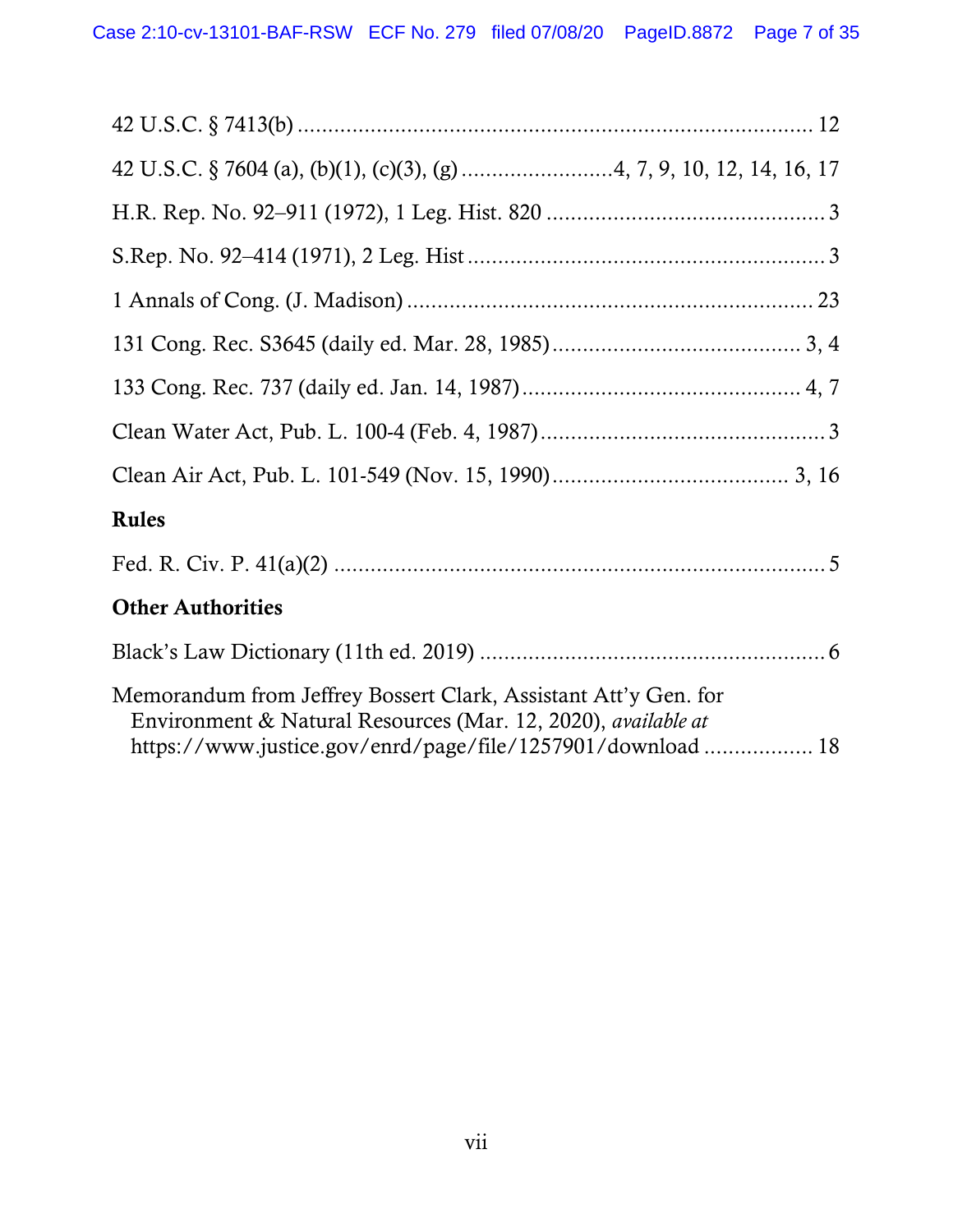| <b>Rules</b>                                                                                                                                                                                          |
|-------------------------------------------------------------------------------------------------------------------------------------------------------------------------------------------------------|
|                                                                                                                                                                                                       |
| <b>Other Authorities</b>                                                                                                                                                                              |
|                                                                                                                                                                                                       |
| Memorandum from Jeffrey Bossert Clark, Assistant Att'y Gen. for<br>Environment & Natural Resources (Mar. 12, 2020), <i>available at</i><br>https://www.justice.gov/enrd/page/file/1257901/download 18 |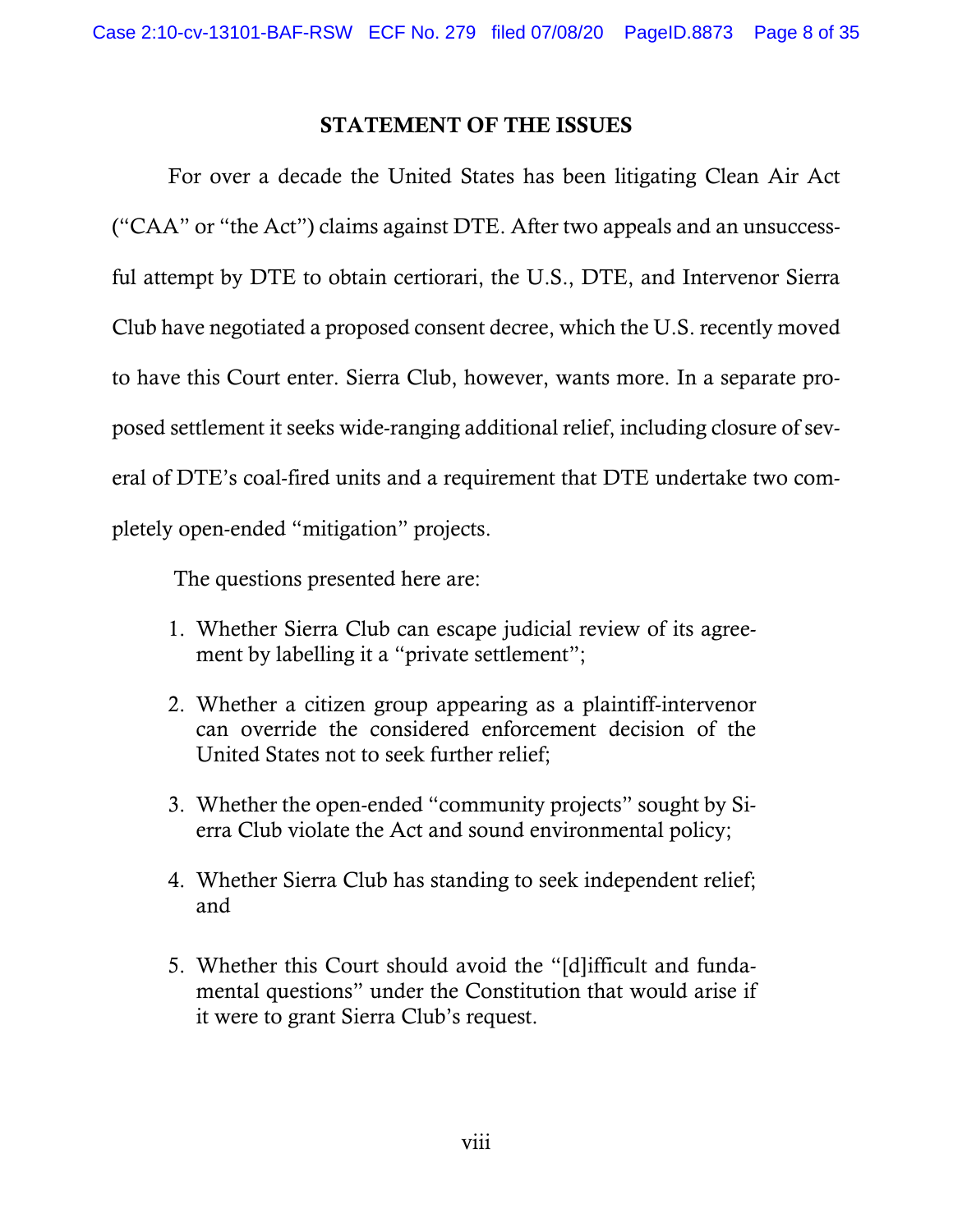### STATEMENT OF THE ISSUES

 For over a decade the United States has been litigating Clean Air Act ("CAA" or "the Act") claims against DTE. After two appeals and an unsuccessful attempt by DTE to obtain certiorari, the U.S., DTE, and Intervenor Sierra Club have negotiated a proposed consent decree, which the U.S. recently moved to have this Court enter. Sierra Club, however, wants more. In a separate proposed settlement it seeks wide-ranging additional relief, including closure of several of DTE's coal-fired units and a requirement that DTE undertake two completely open-ended "mitigation" projects.

The questions presented here are:

- 1. Whether Sierra Club can escape judicial review of its agreement by labelling it a "private settlement";
- 2. Whether a citizen group appearing as a plaintiff-intervenor can override the considered enforcement decision of the United States not to seek further relief;
- 3. Whether the open-ended "community projects" sought by Sierra Club violate the Act and sound environmental policy;
- 4. Whether Sierra Club has standing to seek independent relief; and
- 5. Whether this Court should avoid the "[d]ifficult and fundamental questions" under the Constitution that would arise if it were to grant Sierra Club's request.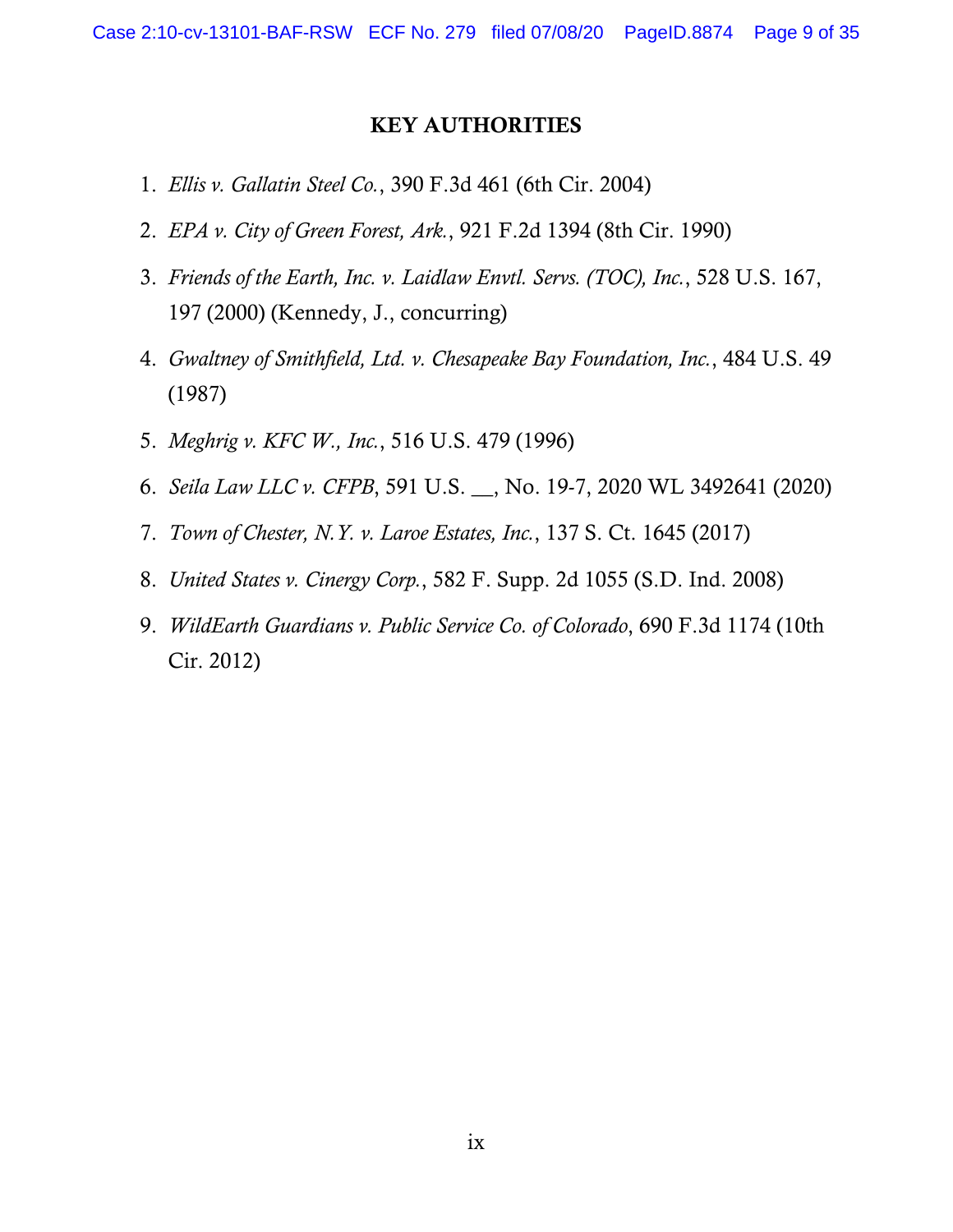#### KEY AUTHORITIES

- 1. *Ellis v. Gallatin Steel Co.*, 390 F.3d 461 (6th Cir. 2004)
- 2. *EPA v. City of Green Forest, Ark.*, 921 F.2d 1394 (8th Cir. 1990)
- 3. *Friends of the Earth, Inc. v. Laidlaw Envtl. Servs. (TOC), Inc.*, 528 U.S. 167, 197 (2000) (Kennedy, J., concurring)
- 4. *Gwaltney of Smithfield, Ltd. v. Chesapeake Bay Foundation, Inc.*, 484 U.S. 49 (1987)
- 5. *Meghrig v. KFC W., Inc.*, 516 U.S. 479 (1996)
- 6. *Seila Law LLC v. CFPB*, 591 U.S. \_\_, No. 19-7, 2020 WL 3492641 (2020)
- 7. *Town of Chester, N.Y. v. Laroe Estates, Inc.*, 137 S. Ct. 1645 (2017)
- 8. *United States v. Cinergy Corp.*, 582 F. Supp. 2d 1055 (S.D. Ind. 2008)
- 9. *WildEarth Guardians v. Public Service Co. of Colorado*, 690 F.3d 1174 (10th Cir. 2012)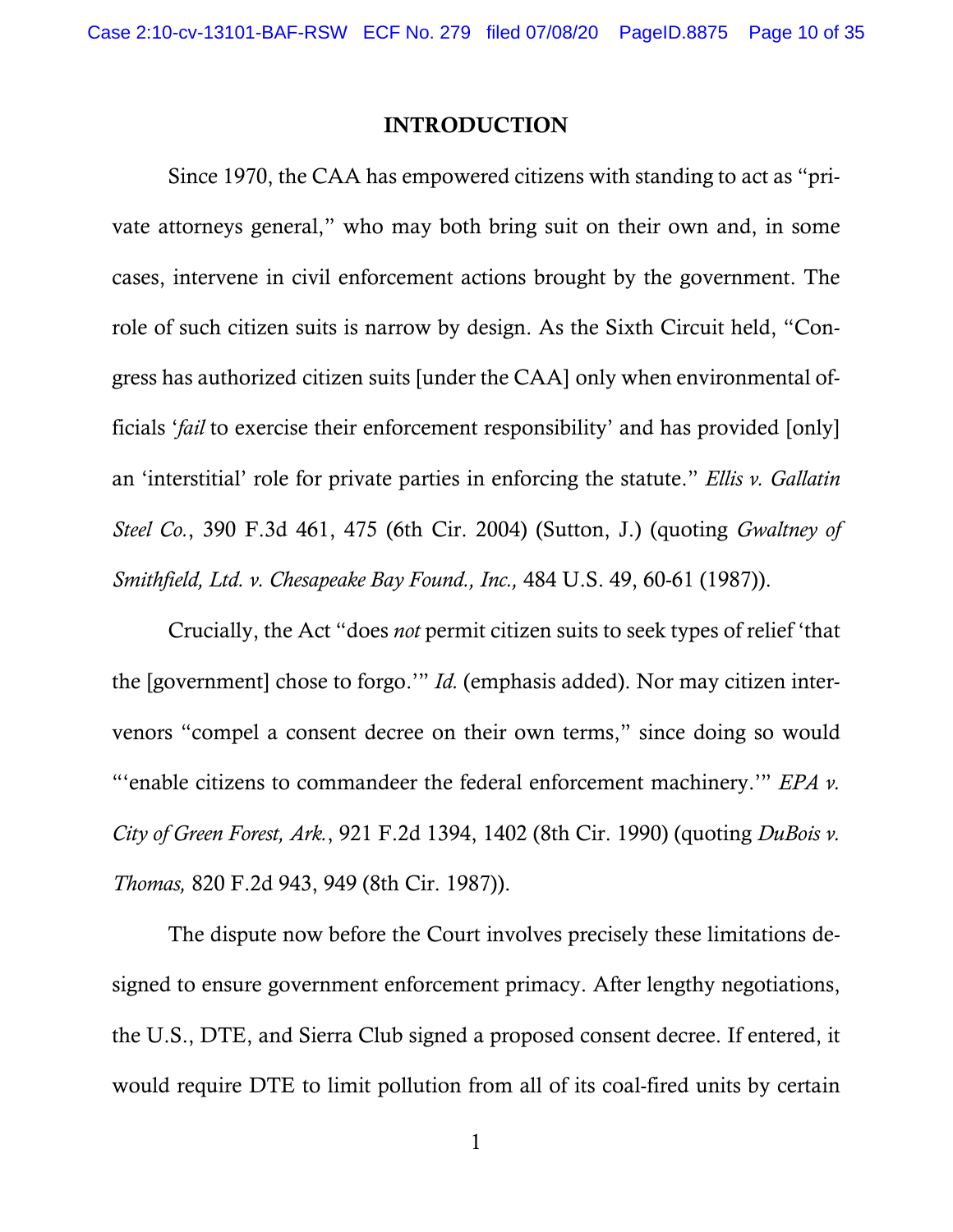#### INTRODUCTION

 Since 1970, the CAA has empowered citizens with standing to act as "private attorneys general," who may both bring suit on their own and, in some cases, intervene in civil enforcement actions brought by the government. The role of such citizen suits is narrow by design. As the Sixth Circuit held, "Congress has authorized citizen suits [under the CAA] only when environmental officials '*fail* to exercise their enforcement responsibility' and has provided [only] an 'interstitial' role for private parties in enforcing the statute." *Ellis v. Gallatin Steel Co.*, 390 F.3d 461, 475 (6th Cir. 2004) (Sutton, J.) (quoting *Gwaltney of Smithfield, Ltd. v. Chesapeake Bay Found., Inc.,* 484 U.S. 49, 60-61 (1987)).

Crucially, the Act "does *not* permit citizen suits to seek types of relief 'that the [government] chose to forgo.'" *Id.* (emphasis added). Nor may citizen intervenors "compel a consent decree on their own terms," since doing so would "'enable citizens to commandeer the federal enforcement machinery.'" *EPA v. City of Green Forest, Ark.*, 921 F.2d 1394, 1402 (8th Cir. 1990) (quoting *DuBois v. Thomas,* 820 F.2d 943, 949 (8th Cir. 1987)).

The dispute now before the Court involves precisely these limitations designed to ensure government enforcement primacy. After lengthy negotiations, the U.S., DTE, and Sierra Club signed a proposed consent decree. If entered, it would require DTE to limit pollution from all of its coal-fired units by certain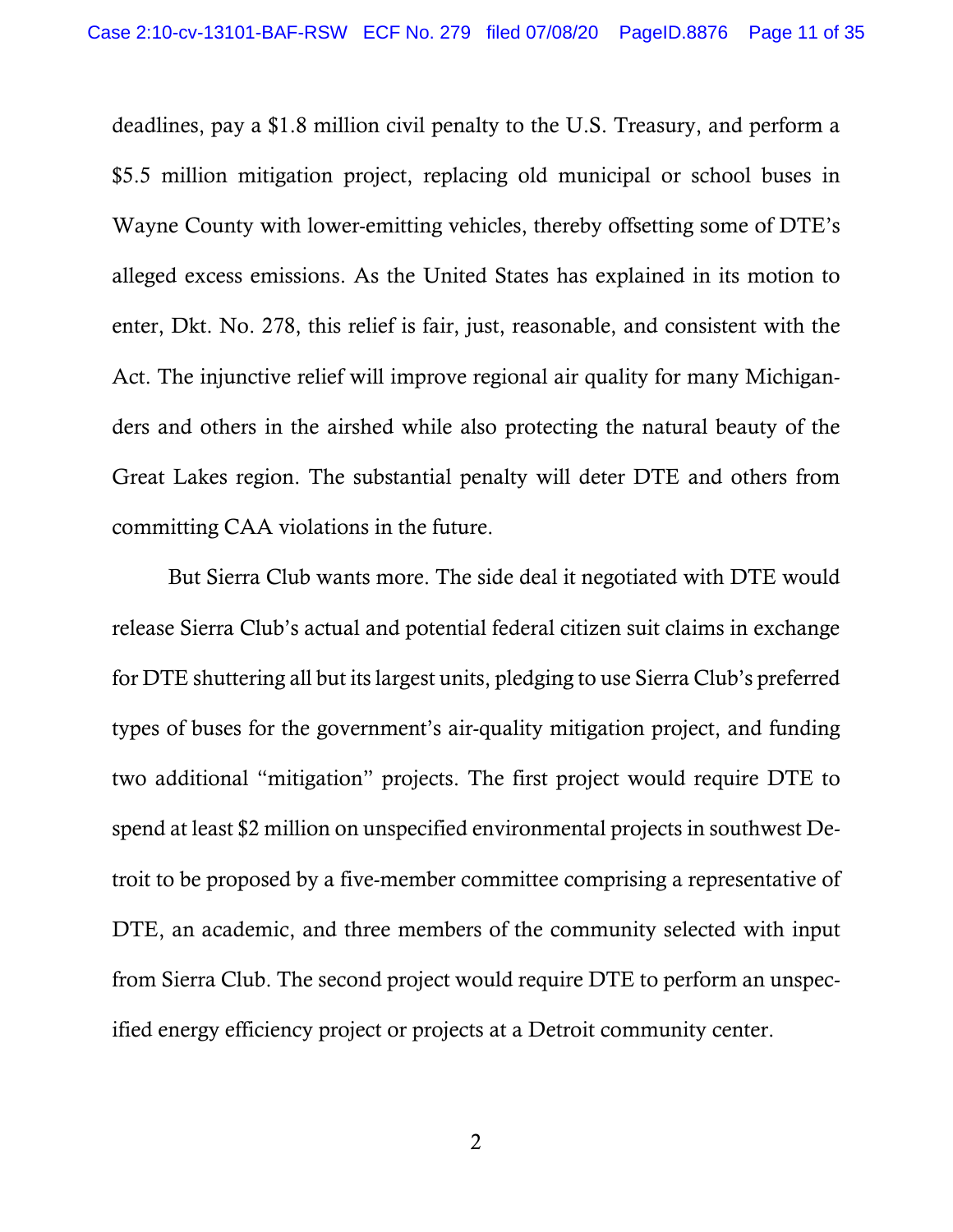deadlines, pay a \$1.8 million civil penalty to the U.S. Treasury, and perform a \$5.5 million mitigation project, replacing old municipal or school buses in Wayne County with lower-emitting vehicles, thereby offsetting some of DTE's alleged excess emissions. As the United States has explained in its motion to enter, Dkt. No. 278, this relief is fair, just, reasonable, and consistent with the Act. The injunctive relief will improve regional air quality for many Michiganders and others in the airshed while also protecting the natural beauty of the Great Lakes region. The substantial penalty will deter DTE and others from committing CAA violations in the future.

But Sierra Club wants more. The side deal it negotiated with DTE would release Sierra Club's actual and potential federal citizen suit claims in exchange for DTE shuttering all but its largest units, pledging to use Sierra Club's preferred types of buses for the government's air-quality mitigation project, and funding two additional "mitigation" projects. The first project would require DTE to spend at least \$2 million on unspecified environmental projects in southwest Detroit to be proposed by a five-member committee comprising a representative of DTE, an academic, and three members of the community selected with input from Sierra Club. The second project would require DTE to perform an unspecified energy efficiency project or projects at a Detroit community center.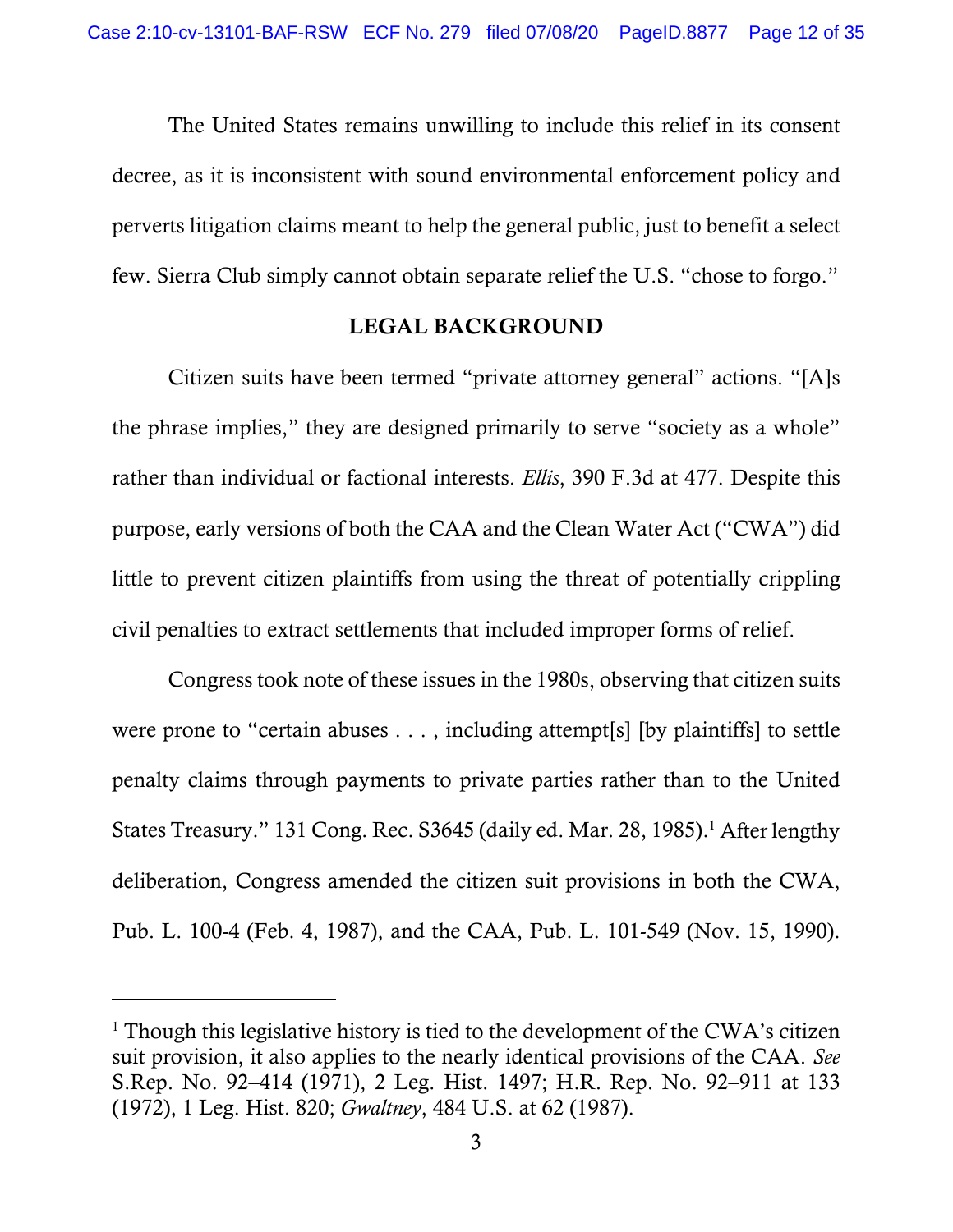The United States remains unwilling to include this relief in its consent decree, as it is inconsistent with sound environmental enforcement policy and perverts litigation claims meant to help the general public, just to benefit a select few. Sierra Club simply cannot obtain separate relief the U.S. "chose to forgo."

#### LEGAL BACKGROUND

Citizen suits have been termed "private attorney general" actions. "[A]s the phrase implies," they are designed primarily to serve "society as a whole" rather than individual or factional interests. *Ellis*, 390 F.3d at 477. Despite this purpose, early versions of both the CAA and the Clean Water Act ("CWA") did little to prevent citizen plaintiffs from using the threat of potentially crippling civil penalties to extract settlements that included improper forms of relief.

Congress took note of these issues in the 1980s, observing that citizen suits were prone to "certain abuses . . . , including attempt[s] [by plaintiffs] to settle penalty claims through payments to private parties rather than to the United States Treasury." 131 Cong. Rec. S3645 (daily ed. Mar. 28, 1985).<sup>1</sup> After lengthy deliberation, Congress amended the citizen suit provisions in both the CWA, Pub. L. 100-4 (Feb. 4, 1987), and the CAA, Pub. L. 101-549 (Nov. 15, 1990).

 $\overline{a}$ 

<sup>&</sup>lt;sup>1</sup> Though this legislative history is tied to the development of the CWA's citizen suit provision, it also applies to the nearly identical provisions of the CAA. *See* S.Rep. No. 92–414 (1971), 2 Leg. Hist. 1497; H.R. Rep. No. 92–911 at 133 (1972), 1 Leg. Hist. 820; *Gwaltney*, 484 U.S. at 62 (1987).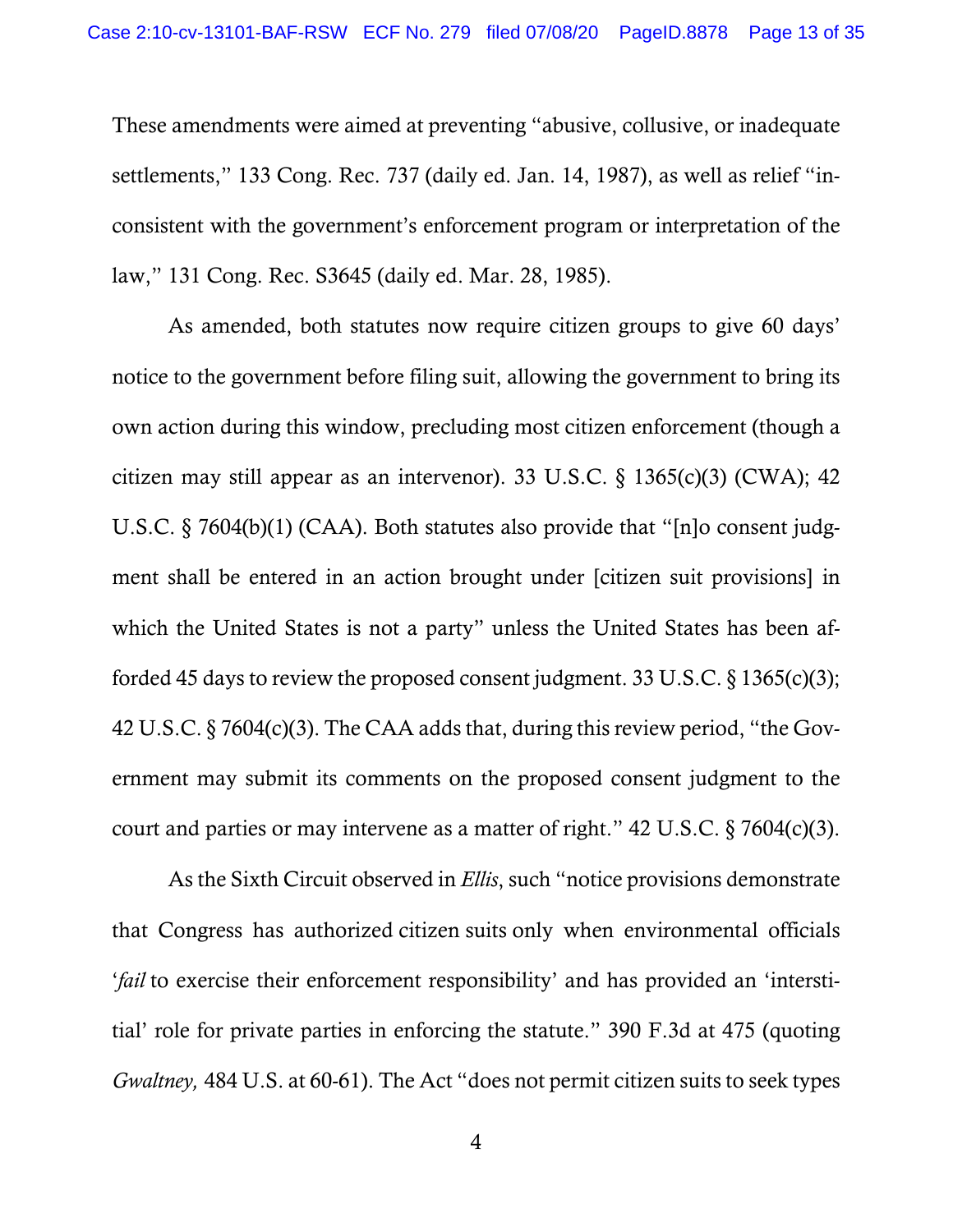These amendments were aimed at preventing "abusive, collusive, or inadequate settlements," 133 Cong. Rec. 737 (daily ed. Jan. 14, 1987), as well as relief "inconsistent with the government's enforcement program or interpretation of the law," 131 Cong. Rec. S3645 (daily ed. Mar. 28, 1985).

As amended, both statutes now require citizen groups to give 60 days' notice to the government before filing suit, allowing the government to bring its own action during this window, precluding most citizen enforcement (though a citizen may still appear as an intervenor). 33 U.S.C.  $\S$  1365(c)(3) (CWA); 42 U.S.C. § 7604(b)(1) (CAA). Both statutes also provide that "[n]o consent judgment shall be entered in an action brought under [citizen suit provisions] in which the United States is not a party" unless the United States has been afforded 45 days to review the proposed consent judgment. 33 U.S.C.  $\S$  1365(c)(3); 42 U.S.C. § 7604(c)(3). The CAA adds that, during this review period, "the Government may submit its comments on the proposed consent judgment to the court and parties or may intervene as a matter of right."  $42 \text{ U.S.C.}$  § 7604(c)(3).

As the Sixth Circuit observed in *Ellis*, such "notice provisions demonstrate that Congress has authorized citizen suits only when environmental officials '*fail* to exercise their enforcement responsibility' and has provided an 'interstitial' role for private parties in enforcing the statute." 390 F.3d at 475 (quoting *Gwaltney,* 484 U.S. at 60-61). The Act "does not permit citizen suits to seek types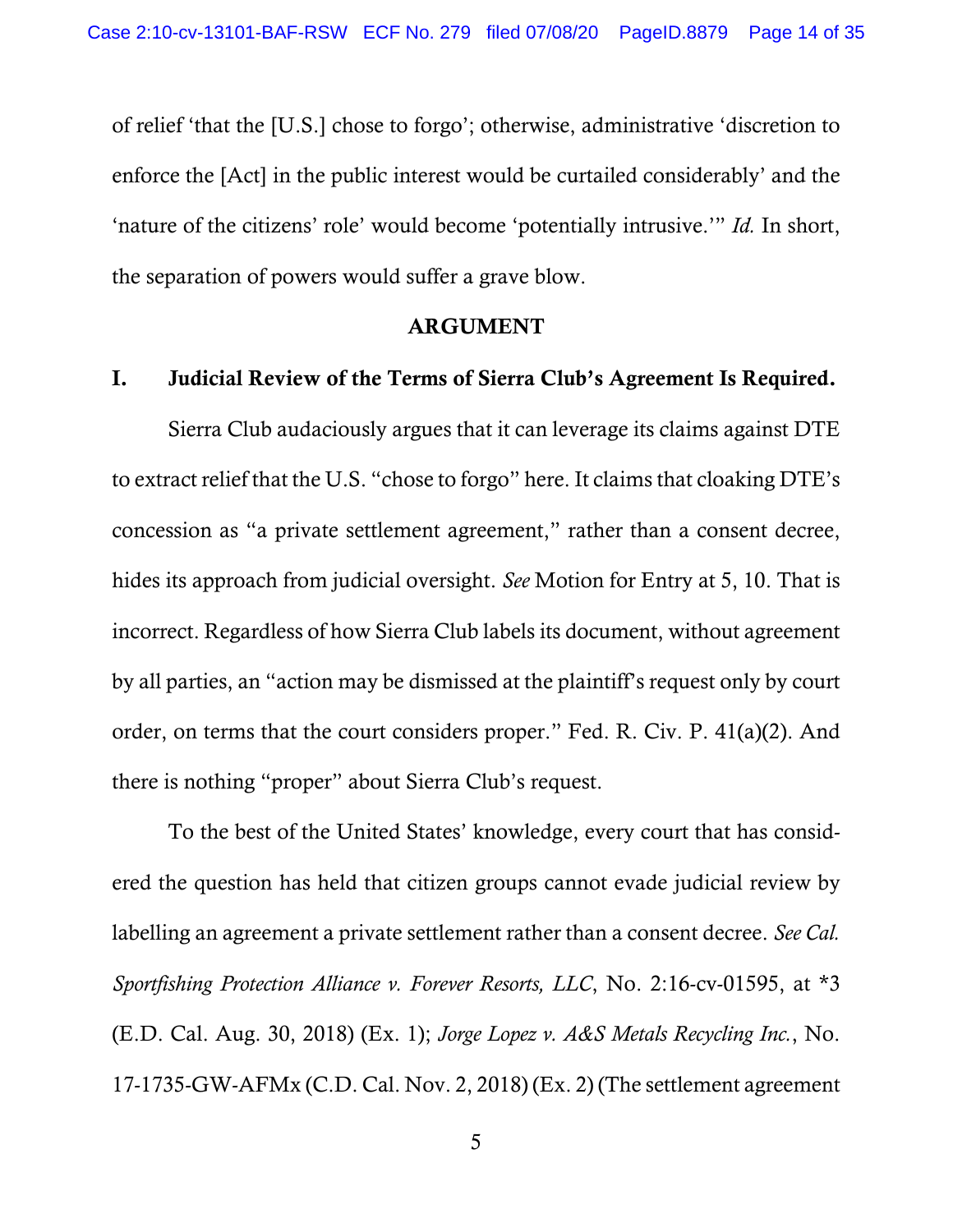of relief 'that the [U.S.] chose to forgo'; otherwise, administrative 'discretion to enforce the [Act] in the public interest would be curtailed considerably' and the 'nature of the citizens' role' would become 'potentially intrusive.'" *Id.* In short, the separation of powers would suffer a grave blow.

#### ARGUMENT

### I. Judicial Review of the Terms of Sierra Club's Agreement Is Required.

Sierra Club audaciously argues that it can leverage its claims against DTE to extract relief that the U.S. "chose to forgo" here. It claims that cloaking DTE's concession as "a private settlement agreement," rather than a consent decree, hides its approach from judicial oversight. *See* Motion for Entry at 5, 10. That is incorrect. Regardless of how Sierra Club labels its document, without agreement by all parties, an "action may be dismissed at the plaintiff's request only by court order, on terms that the court considers proper." Fed. R. Civ. P. 41(a)(2). And there is nothing "proper" about Sierra Club's request.

To the best of the United States' knowledge, every court that has considered the question has held that citizen groups cannot evade judicial review by labelling an agreement a private settlement rather than a consent decree. *See Cal. Sportfishing Protection Alliance v. Forever Resorts, LLC*, No. 2:16-cv-01595, at \*3 (E.D. Cal. Aug. 30, 2018) (Ex. 1); *Jorge Lopez v. A&S Metals Recycling Inc.*, No. 17-1735-GW-AFMx (C.D. Cal. Nov. 2, 2018) (Ex. 2) (The settlement agreement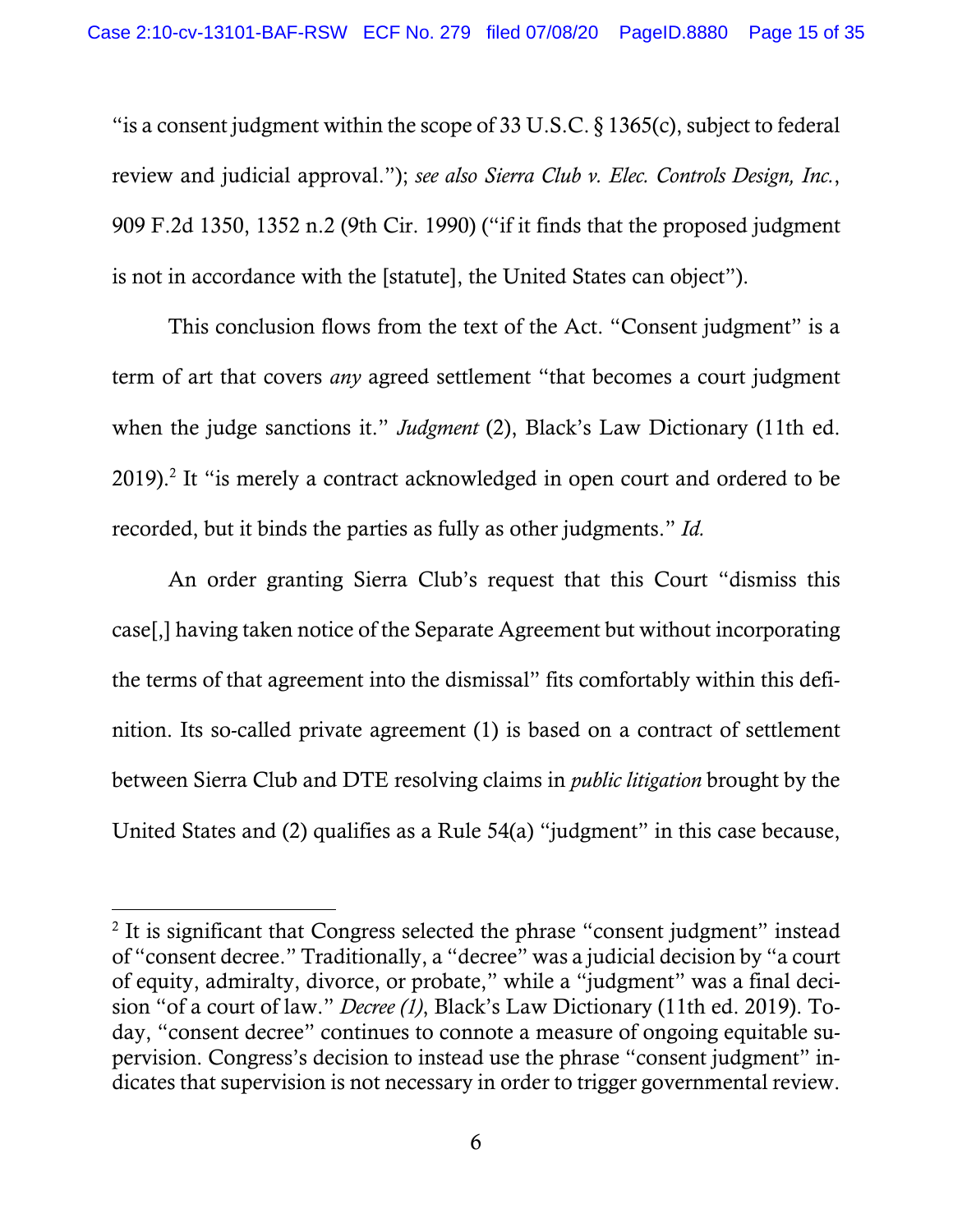"is a consent judgment within the scope of 33 U.S.C.  $\S$  1365(c), subject to federal review and judicial approval."); *see also Sierra Club v. Elec. Controls Design, Inc.*, 909 F.2d 1350, 1352 n.2 (9th Cir. 1990) ("if it finds that the proposed judgment is not in accordance with the [statute], the United States can object").

This conclusion flows from the text of the Act. "Consent judgment" is a term of art that covers *any* agreed settlement "that becomes a court judgment when the judge sanctions it." *Judgment* (2), Black's Law Dictionary (11th ed. 2019).<sup>2</sup> It "is merely a contract acknowledged in open court and ordered to be recorded, but it binds the parties as fully as other judgments." *Id.* 

An order granting Sierra Club's request that this Court "dismiss this case[,] having taken notice of the Separate Agreement but without incorporating the terms of that agreement into the dismissal" fits comfortably within this definition. Its so-called private agreement (1) is based on a contract of settlement between Sierra Club and DTE resolving claims in *public litigation* brought by the United States and (2) qualifies as a Rule 54(a) "judgment" in this case because,

 $\overline{a}$ 

<sup>&</sup>lt;sup>2</sup> It is significant that Congress selected the phrase "consent judgment" instead of "consent decree." Traditionally, a "decree" was a judicial decision by "a court of equity, admiralty, divorce, or probate," while a "judgment" was a final decision "of a court of law." *Decree (1)*, Black's Law Dictionary (11th ed. 2019). Today, "consent decree" continues to connote a measure of ongoing equitable supervision. Congress's decision to instead use the phrase "consent judgment" indicates that supervision is not necessary in order to trigger governmental review.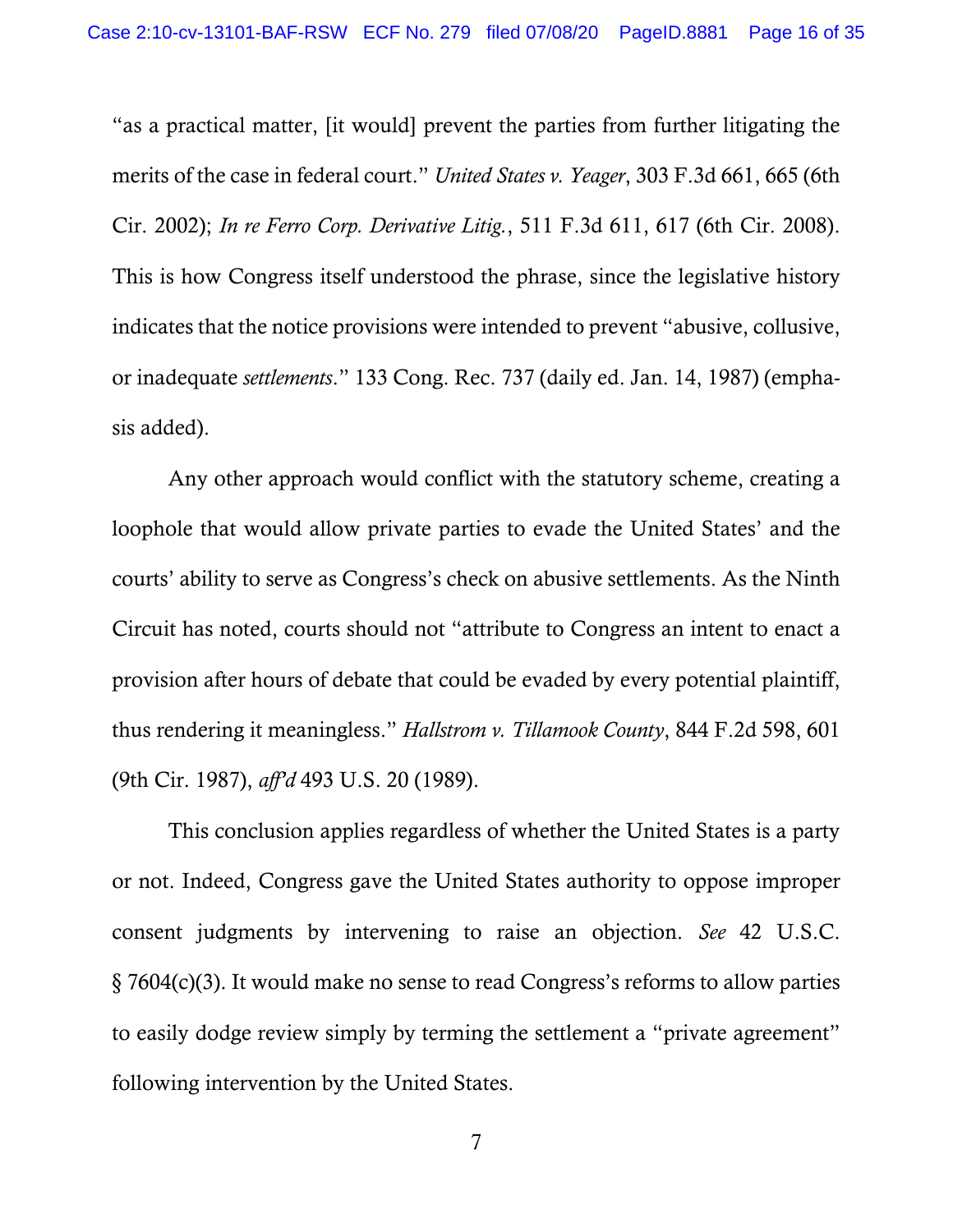"as a practical matter, [it would] prevent the parties from further litigating the merits of the case in federal court." *United States v. Yeager*, 303 F.3d 661, 665 (6th Cir. 2002); *In re Ferro Corp. Derivative Litig.*, 511 F.3d 611, 617 (6th Cir. 2008). This is how Congress itself understood the phrase, since the legislative history indicates that the notice provisions were intended to prevent "abusive, collusive, or inadequate *settlements*." 133 Cong. Rec. 737 (daily ed. Jan. 14, 1987) (emphasis added).

Any other approach would conflict with the statutory scheme, creating a loophole that would allow private parties to evade the United States' and the courts' ability to serve as Congress's check on abusive settlements. As the Ninth Circuit has noted, courts should not "attribute to Congress an intent to enact a provision after hours of debate that could be evaded by every potential plaintiff, thus rendering it meaningless." *Hallstrom v. Tillamook County*, 844 F.2d 598, 601 (9th Cir. 1987), *aff'd* 493 U.S. 20 (1989).

This conclusion applies regardless of whether the United States is a party or not. Indeed, Congress gave the United States authority to oppose improper consent judgments by intervening to raise an objection. *See* 42 U.S.C. § 7604(c)(3). It would make no sense to read Congress's reforms to allow parties to easily dodge review simply by terming the settlement a "private agreement" following intervention by the United States.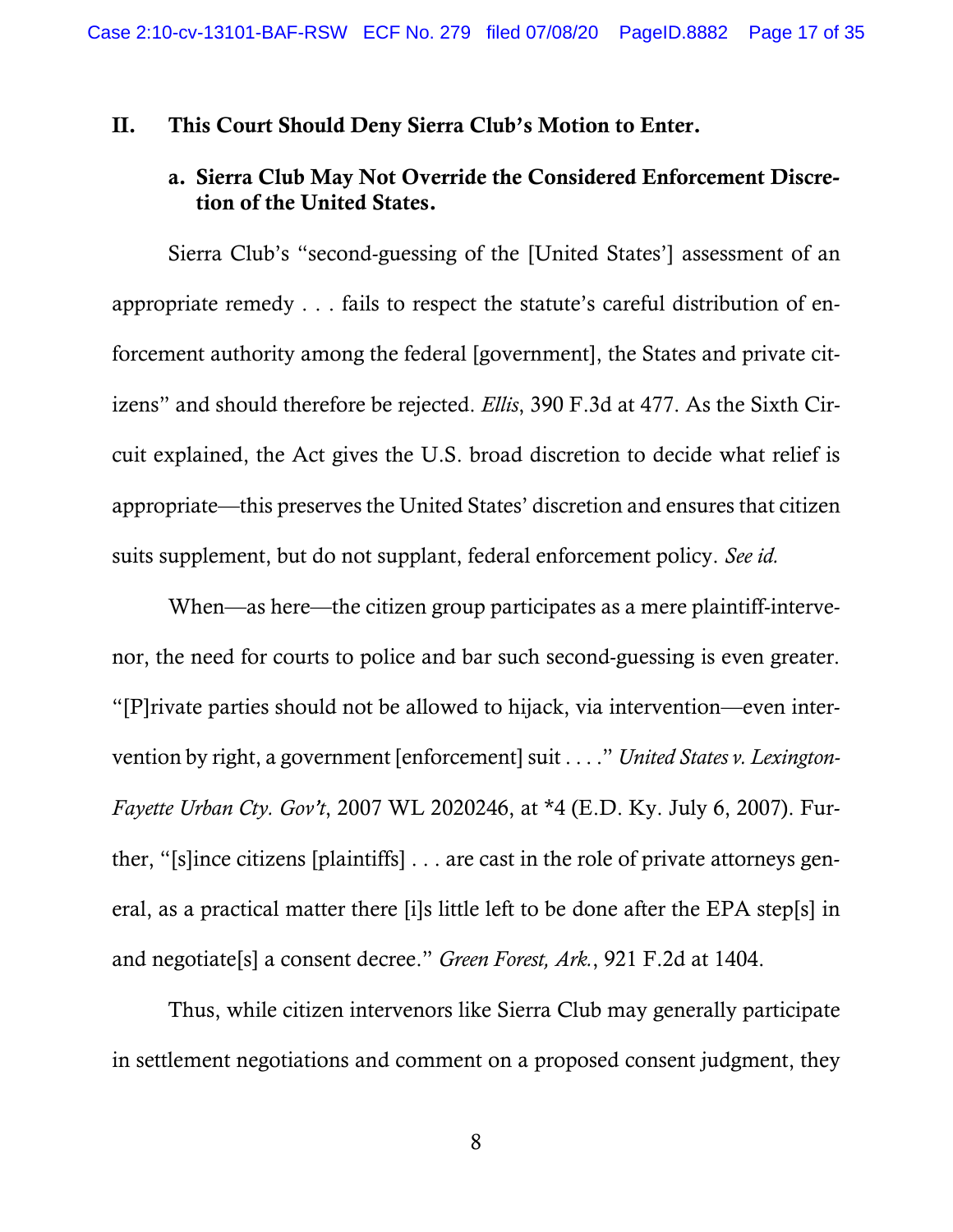#### II. This Court Should Deny Sierra Club's Motion to Enter.

## a. Sierra Club May Not Override the Considered Enforcement Discretion of the United States.

Sierra Club's "second-guessing of the [United States'] assessment of an appropriate remedy . . . fails to respect the statute's careful distribution of enforcement authority among the federal [government], the States and private citizens" and should therefore be rejected. *Ellis*, 390 F.3d at 477. As the Sixth Circuit explained, the Act gives the U.S. broad discretion to decide what relief is appropriate—this preserves the United States' discretion and ensures that citizen suits supplement, but do not supplant, federal enforcement policy. *See id.*

When—as here—the citizen group participates as a mere plaintiff-intervenor, the need for courts to police and bar such second-guessing is even greater. "[P]rivate parties should not be allowed to hijack, via intervention—even intervention by right, a government [enforcement] suit . . . ." *United States v. Lexington-Fayette Urban Cty. Gov't*, 2007 WL 2020246, at \*4 (E.D. Ky. July 6, 2007). Further, "[s]ince citizens [plaintiffs] . . . are cast in the role of private attorneys general, as a practical matter there [i]s little left to be done after the EPA step[s] in and negotiate[s] a consent decree." *Green Forest, Ark.*, 921 F.2d at 1404.

Thus, while citizen intervenors like Sierra Club may generally participate in settlement negotiations and comment on a proposed consent judgment, they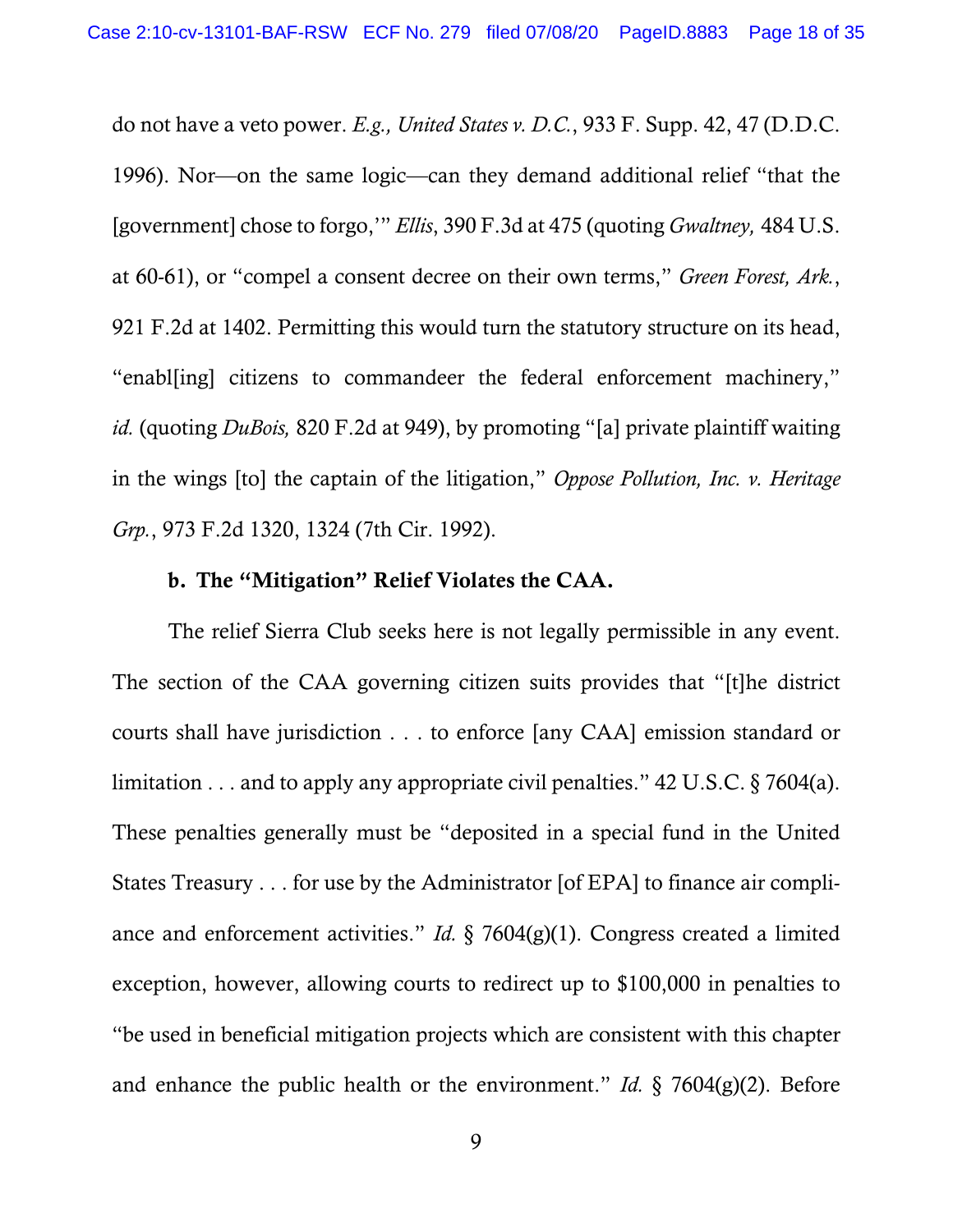do not have a veto power. *E.g., United States v. D.C.*, 933 F. Supp. 42, 47 (D.D.C. 1996). Nor—on the same logic—can they demand additional relief "that the [government] chose to forgo,'" *Ellis*, 390 F.3d at 475 (quoting *Gwaltney,* 484 U.S. at 60-61), or "compel a consent decree on their own terms," *Green Forest, Ark.*, 921 F.2d at 1402. Permitting this would turn the statutory structure on its head, "enabl[ing] citizens to commandeer the federal enforcement machinery," *id.* (quoting *DuBois,* 820 F.2d at 949), by promoting "[a] private plaintiff waiting in the wings [to] the captain of the litigation," *Oppose Pollution, Inc. v. Heritage Grp.*, 973 F.2d 1320, 1324 (7th Cir. 1992).

#### b. The "Mitigation" Relief Violates the CAA.

The relief Sierra Club seeks here is not legally permissible in any event. The section of the CAA governing citizen suits provides that "[t]he district courts shall have jurisdiction . . . to enforce [any CAA] emission standard or limitation . . . and to apply any appropriate civil penalties." 42 U.S.C. § 7604(a). These penalties generally must be "deposited in a special fund in the United States Treasury . . . for use by the Administrator [of EPA] to finance air compliance and enforcement activities." *Id.* § 7604(g)(1). Congress created a limited exception, however, allowing courts to redirect up to \$100,000 in penalties to "be used in beneficial mitigation projects which are consistent with this chapter and enhance the public health or the environment." *Id.* § 7604(g)(2). Before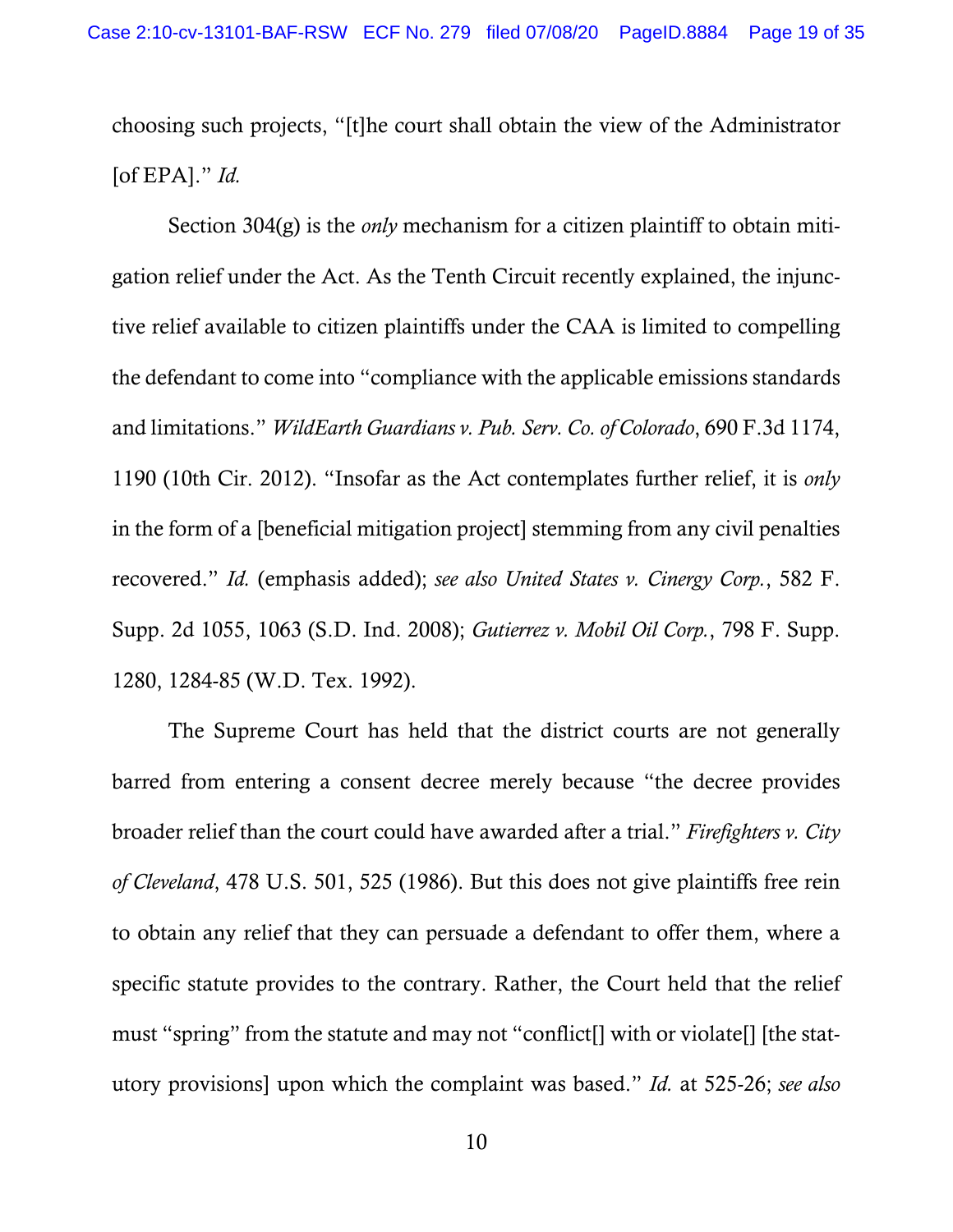choosing such projects, "[t]he court shall obtain the view of the Administrator [of EPA]." *Id.*

Section 304(g) is the *only* mechanism for a citizen plaintiff to obtain mitigation relief under the Act. As the Tenth Circuit recently explained, the injunctive relief available to citizen plaintiffs under the CAA is limited to compelling the defendant to come into "compliance with the applicable emissions standards and limitations." *WildEarth Guardians v. Pub. Serv. Co. of Colorado*, 690 F.3d 1174, 1190 (10th Cir. 2012). "Insofar as the Act contemplates further relief, it is *only*  in the form of a [beneficial mitigation project] stemming from any civil penalties recovered." *Id.* (emphasis added); *see also United States v. Cinergy Corp.*, 582 F. Supp. 2d 1055, 1063 (S.D. Ind. 2008); *Gutierrez v. Mobil Oil Corp.*, 798 F. Supp. 1280, 1284-85 (W.D. Tex. 1992).

The Supreme Court has held that the district courts are not generally barred from entering a consent decree merely because "the decree provides broader relief than the court could have awarded after a trial." *Firefighters v. City of Cleveland*, 478 U.S. 501, 525 (1986). But this does not give plaintiffs free rein to obtain any relief that they can persuade a defendant to offer them, where a specific statute provides to the contrary. Rather, the Court held that the relief must "spring" from the statute and may not "conflict[] with or violate[] [the statutory provisions] upon which the complaint was based." *Id.* at 525-26; *see also*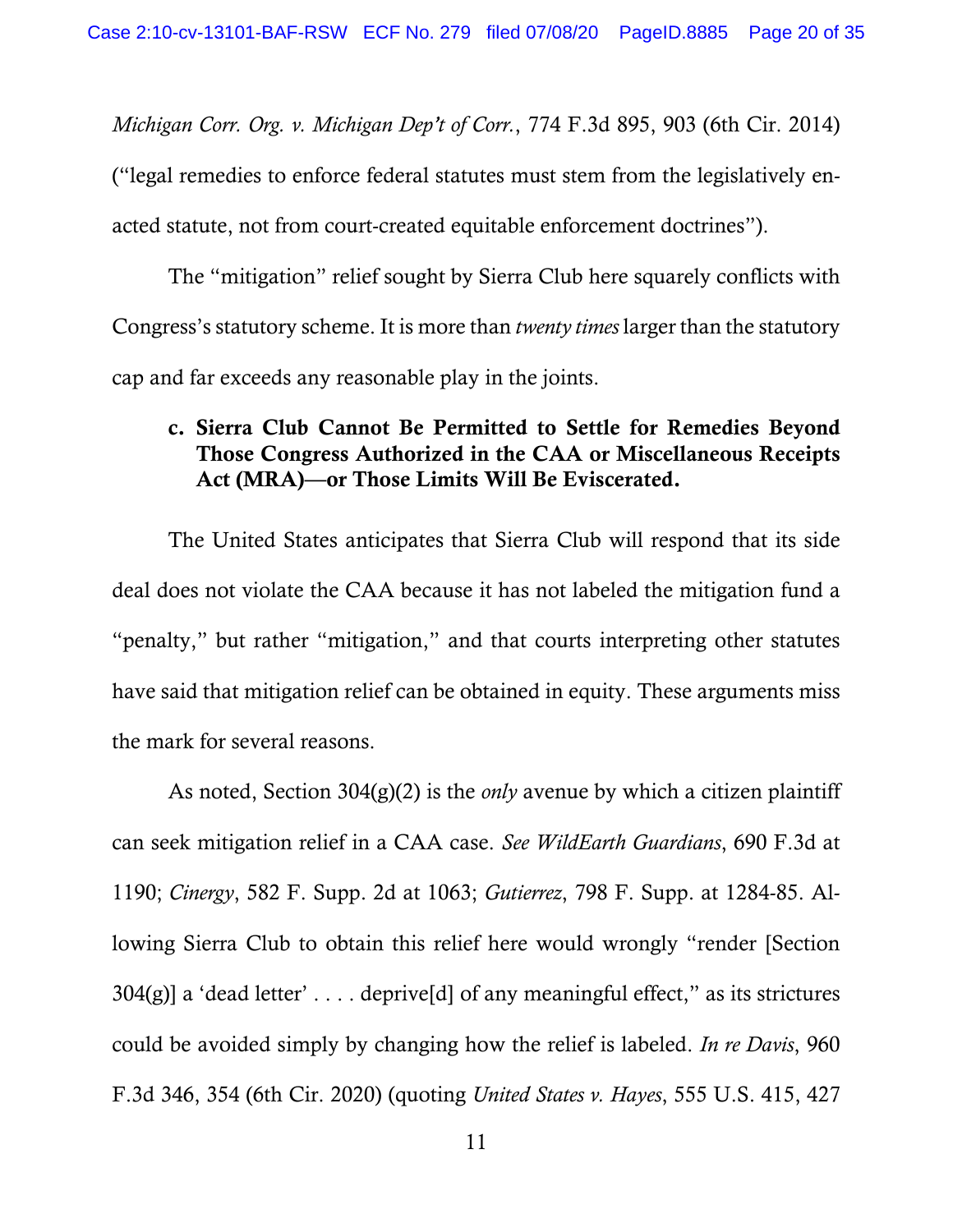*Michigan Corr. Org. v. Michigan Dep't of Corr.*, 774 F.3d 895, 903 (6th Cir. 2014) ("legal remedies to enforce federal statutes must stem from the legislatively enacted statute, not from court-created equitable enforcement doctrines").

The "mitigation" relief sought by Sierra Club here squarely conflicts with Congress's statutory scheme. It is more than *twenty times* larger than the statutory cap and far exceeds any reasonable play in the joints.

## c. Sierra Club Cannot Be Permitted to Settle for Remedies Beyond Those Congress Authorized in the CAA or Miscellaneous Receipts Act (MRA)—or Those Limits Will Be Eviscerated.

The United States anticipates that Sierra Club will respond that its side deal does not violate the CAA because it has not labeled the mitigation fund a "penalty," but rather "mitigation," and that courts interpreting other statutes have said that mitigation relief can be obtained in equity. These arguments miss the mark for several reasons.

As noted, Section 304(g)(2) is the *only* avenue by which a citizen plaintiff can seek mitigation relief in a CAA case. *See WildEarth Guardians*, 690 F.3d at 1190; *Cinergy*, 582 F. Supp. 2d at 1063; *Gutierrez*, 798 F. Supp. at 1284-85. Allowing Sierra Club to obtain this relief here would wrongly "render [Section  $304(g)$ ] a 'dead letter' .... deprive[d] of any meaningful effect," as its strictures could be avoided simply by changing how the relief is labeled. *In re Davis*, 960 F.3d 346, 354 (6th Cir. 2020) (quoting *United States v. Hayes*, 555 U.S. 415, 427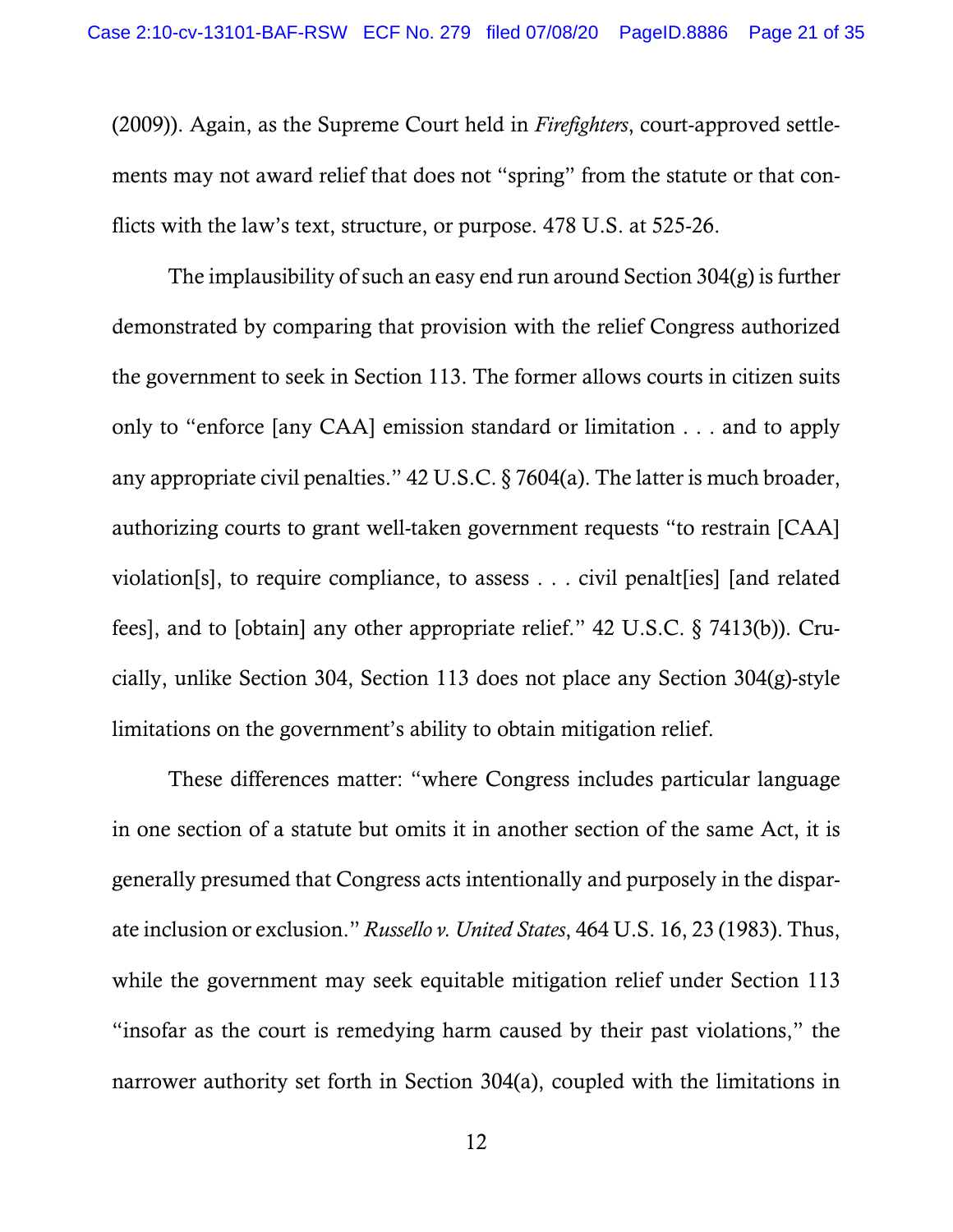(2009)). Again, as the Supreme Court held in *Firefighters*, court-approved settlements may not award relief that does not "spring" from the statute or that conflicts with the law's text, structure, or purpose. 478 U.S. at 525-26.

The implausibility of such an easy end run around Section 304(g) is further demonstrated by comparing that provision with the relief Congress authorized the government to seek in Section 113. The former allows courts in citizen suits only to "enforce [any CAA] emission standard or limitation . . . and to apply any appropriate civil penalties." 42 U.S.C. § 7604(a). The latter is much broader, authorizing courts to grant well-taken government requests "to restrain [CAA] violation[s], to require compliance, to assess . . . civil penalt[ies] [and related fees], and to [obtain] any other appropriate relief." 42 U.S.C. § 7413(b)). Crucially, unlike Section 304, Section 113 does not place any Section 304(g)-style limitations on the government's ability to obtain mitigation relief.

These differences matter: "where Congress includes particular language in one section of a statute but omits it in another section of the same Act, it is generally presumed that Congress acts intentionally and purposely in the disparate inclusion or exclusion." *Russello v. United States*, 464 U.S. 16, 23 (1983). Thus, while the government may seek equitable mitigation relief under Section 113 "insofar as the court is remedying harm caused by their past violations," the narrower authority set forth in Section 304(a), coupled with the limitations in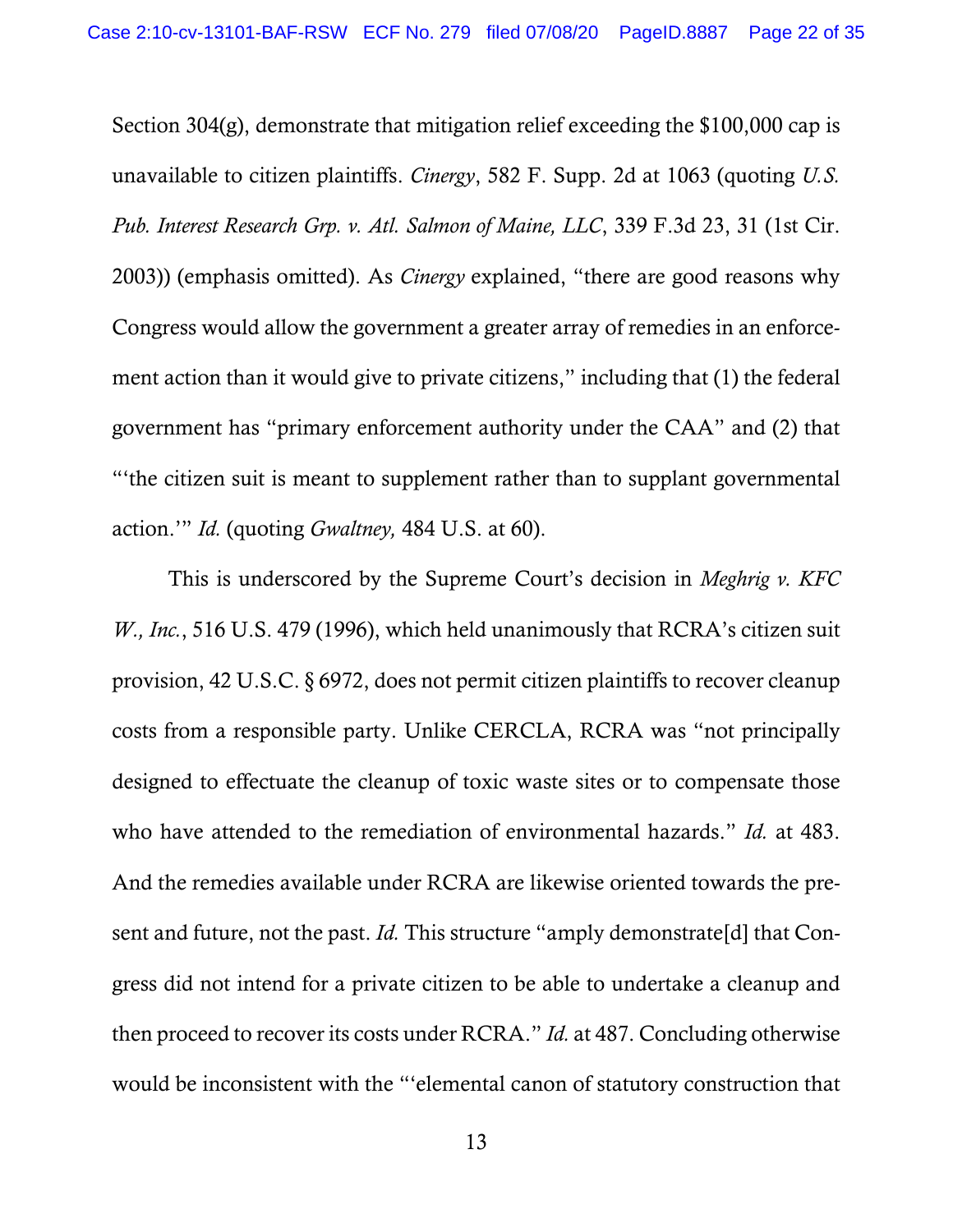Section 304(g), demonstrate that mitigation relief exceeding the \$100,000 cap is unavailable to citizen plaintiffs. *Cinergy*, 582 F. Supp. 2d at 1063 (quoting *U.S. Pub. Interest Research Grp. v. Atl. Salmon of Maine, LLC*, 339 F.3d 23, 31 (1st Cir. 2003)) (emphasis omitted). As *Cinergy* explained, "there are good reasons why Congress would allow the government a greater array of remedies in an enforcement action than it would give to private citizens," including that (1) the federal government has "primary enforcement authority under the CAA" and (2) that "'the citizen suit is meant to supplement rather than to supplant governmental action.'" *Id.* (quoting *Gwaltney,* 484 U.S. at 60).

This is underscored by the Supreme Court's decision in *Meghrig v. KFC W., Inc.*, 516 U.S. 479 (1996), which held unanimously that RCRA's citizen suit provision, 42 U.S.C. § 6972, does not permit citizen plaintiffs to recover cleanup costs from a responsible party. Unlike CERCLA, RCRA was "not principally designed to effectuate the cleanup of toxic waste sites or to compensate those who have attended to the remediation of environmental hazards." *Id.* at 483. And the remedies available under RCRA are likewise oriented towards the present and future, not the past. *Id.* This structure "amply demonstrate[d] that Congress did not intend for a private citizen to be able to undertake a cleanup and then proceed to recover its costs under RCRA." *Id.* at 487. Concluding otherwise would be inconsistent with the "'elemental canon of statutory construction that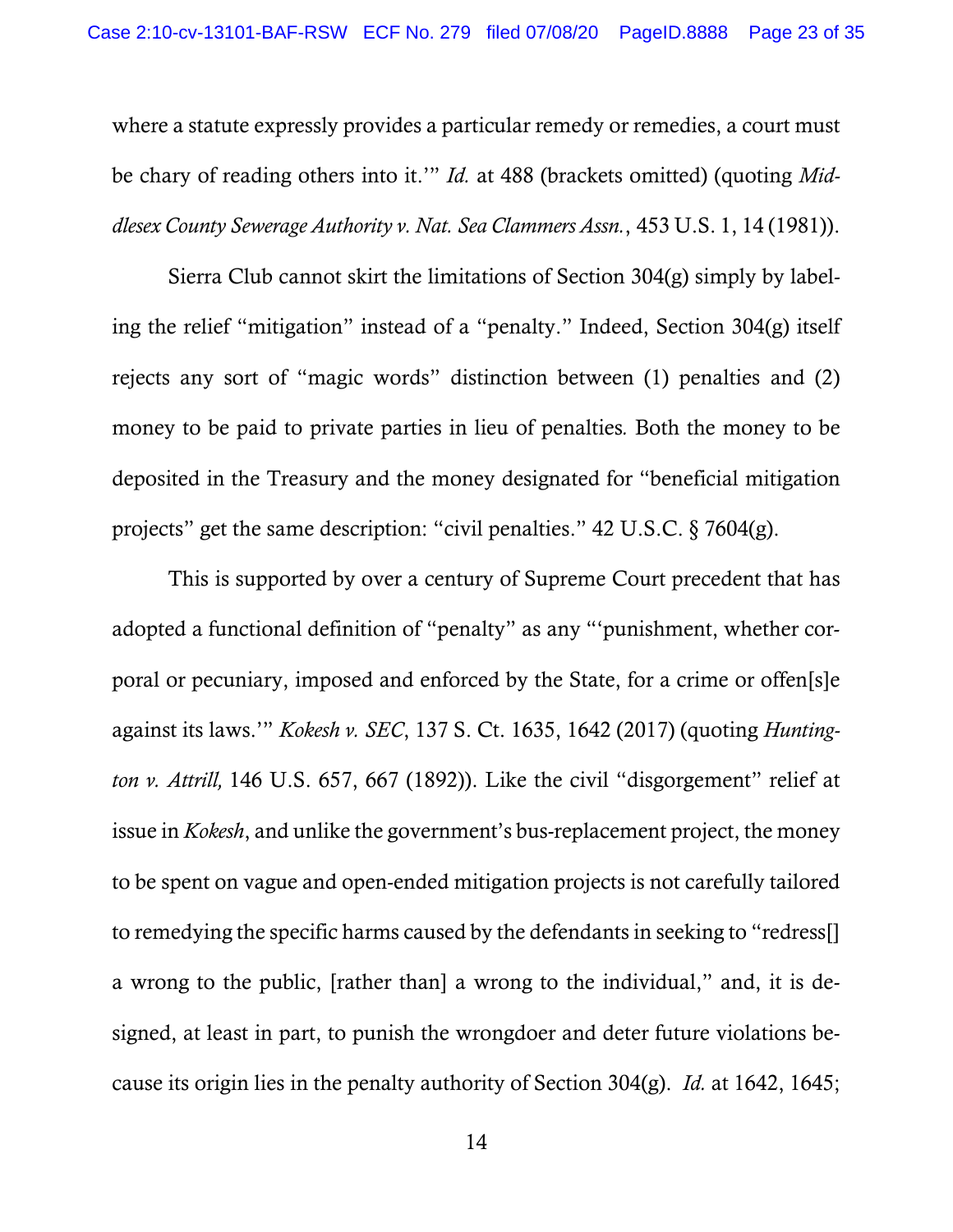where a statute expressly provides a particular remedy or remedies, a court must be chary of reading others into it.'" *Id.* at 488 (brackets omitted) (quoting *Middlesex County Sewerage Authority v. Nat. Sea Clammers Assn.*, 453 U.S. 1, 14 (1981)).

Sierra Club cannot skirt the limitations of Section 304(g) simply by labeling the relief "mitigation" instead of a "penalty." Indeed, Section 304(g) itself rejects any sort of "magic words" distinction between (1) penalties and (2) money to be paid to private parties in lieu of penalties*.* Both the money to be deposited in the Treasury and the money designated for "beneficial mitigation projects" get the same description: "civil penalties." 42 U.S.C. § 7604(g).

This is supported by over a century of Supreme Court precedent that has adopted a functional definition of "penalty" as any "'punishment, whether corporal or pecuniary, imposed and enforced by the State, for a crime or offen[s]e against its laws.'" *Kokesh v. SEC*, 137 S. Ct. 1635, 1642 (2017) (quoting *Huntington v. Attrill,* 146 U.S. 657, 667 (1892)). Like the civil "disgorgement" relief at issue in *Kokesh*, and unlike the government's bus-replacement project, the money to be spent on vague and open-ended mitigation projects is not carefully tailored to remedying the specific harms caused by the defendants in seeking to "redress[] a wrong to the public, [rather than] a wrong to the individual," and, it is designed, at least in part, to punish the wrongdoer and deter future violations because its origin lies in the penalty authority of Section 304(g). *Id.* at 1642, 1645;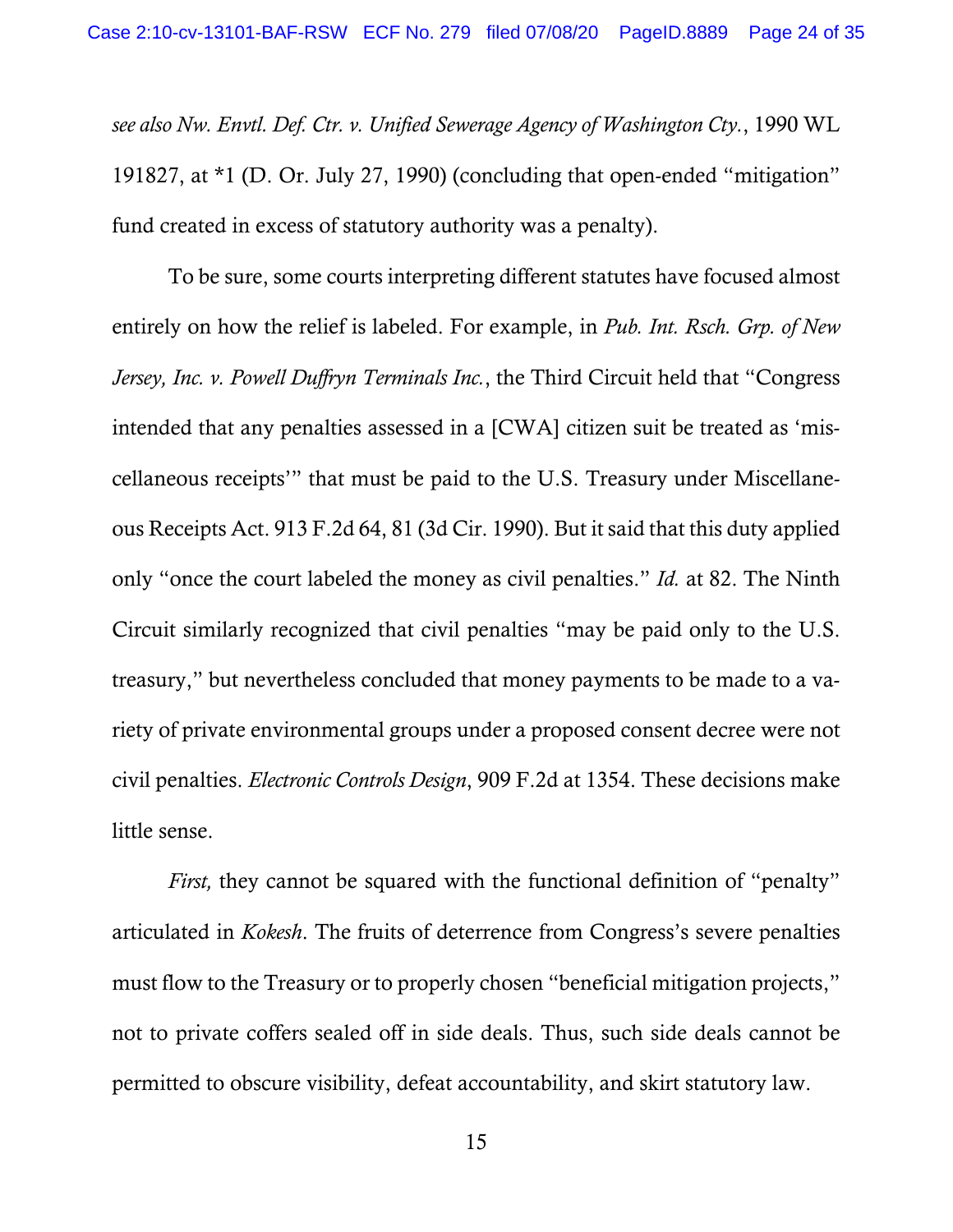*see also Nw. Envtl. Def. Ctr. v. Unified Sewerage Agency of Washington Cty.*, 1990 WL 191827, at \*1 (D. Or. July 27, 1990) (concluding that open-ended "mitigation" fund created in excess of statutory authority was a penalty).

To be sure, some courts interpreting different statutes have focused almost entirely on how the relief is labeled. For example, in *Pub. Int. Rsch. Grp. of New Jersey, Inc. v. Powell Duffryn Terminals Inc.*, the Third Circuit held that "Congress intended that any penalties assessed in a [CWA] citizen suit be treated as 'miscellaneous receipts'" that must be paid to the U.S. Treasury under Miscellaneous Receipts Act. 913 F.2d 64, 81 (3d Cir. 1990). But it said that this duty applied only "once the court labeled the money as civil penalties." *Id.* at 82. The Ninth Circuit similarly recognized that civil penalties "may be paid only to the U.S. treasury," but nevertheless concluded that money payments to be made to a variety of private environmental groups under a proposed consent decree were not civil penalties. *Electronic Controls Design*, 909 F.2d at 1354. These decisions make little sense.

*First*, they cannot be squared with the functional definition of "penalty" articulated in *Kokesh*. The fruits of deterrence from Congress's severe penalties must flow to the Treasury or to properly chosen "beneficial mitigation projects," not to private coffers sealed off in side deals. Thus, such side deals cannot be permitted to obscure visibility, defeat accountability, and skirt statutory law.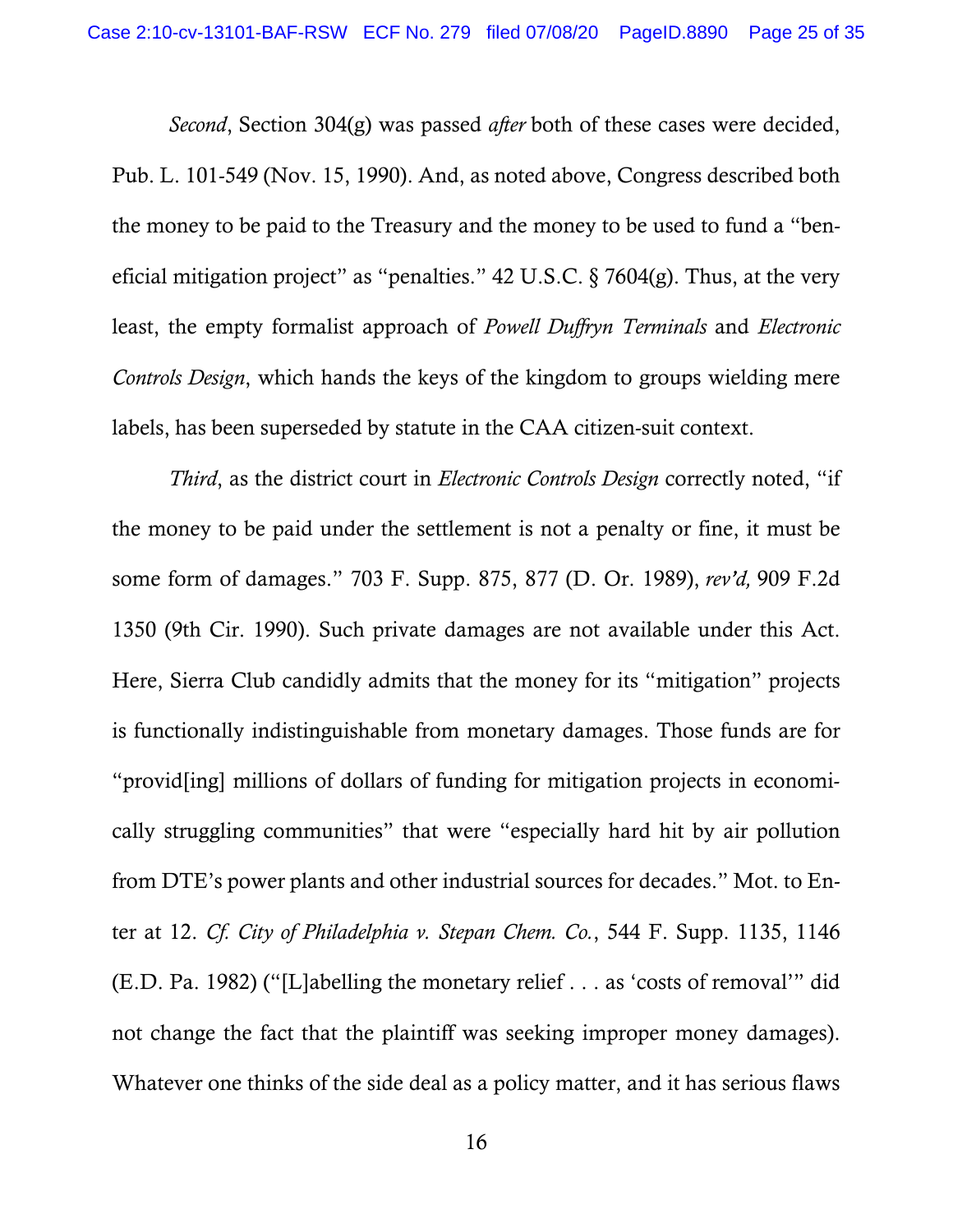*Second*, Section 304(g) was passed *after* both of these cases were decided, Pub. L. 101-549 (Nov. 15, 1990). And, as noted above, Congress described both the money to be paid to the Treasury and the money to be used to fund a "beneficial mitigation project" as "penalties." 42 U.S.C. § 7604(g). Thus, at the very least, the empty formalist approach of *Powell Duffryn Terminals* and *Electronic Controls Design*, which hands the keys of the kingdom to groups wielding mere labels, has been superseded by statute in the CAA citizen-suit context.

*Third*, as the district court in *Electronic Controls Design* correctly noted, "if the money to be paid under the settlement is not a penalty or fine, it must be some form of damages." 703 F. Supp. 875, 877 (D. Or. 1989), *rev'd,* 909 F.2d 1350 (9th Cir. 1990). Such private damages are not available under this Act. Here, Sierra Club candidly admits that the money for its "mitigation" projects is functionally indistinguishable from monetary damages. Those funds are for "provid[ing] millions of dollars of funding for mitigation projects in economically struggling communities" that were "especially hard hit by air pollution from DTE's power plants and other industrial sources for decades." Mot. to Enter at 12. *Cf. City of Philadelphia v. Stepan Chem. Co.*, 544 F. Supp. 1135, 1146 (E.D. Pa. 1982) ("[L]abelling the monetary relief . . . as 'costs of removal'" did not change the fact that the plaintiff was seeking improper money damages). Whatever one thinks of the side deal as a policy matter, and it has serious flaws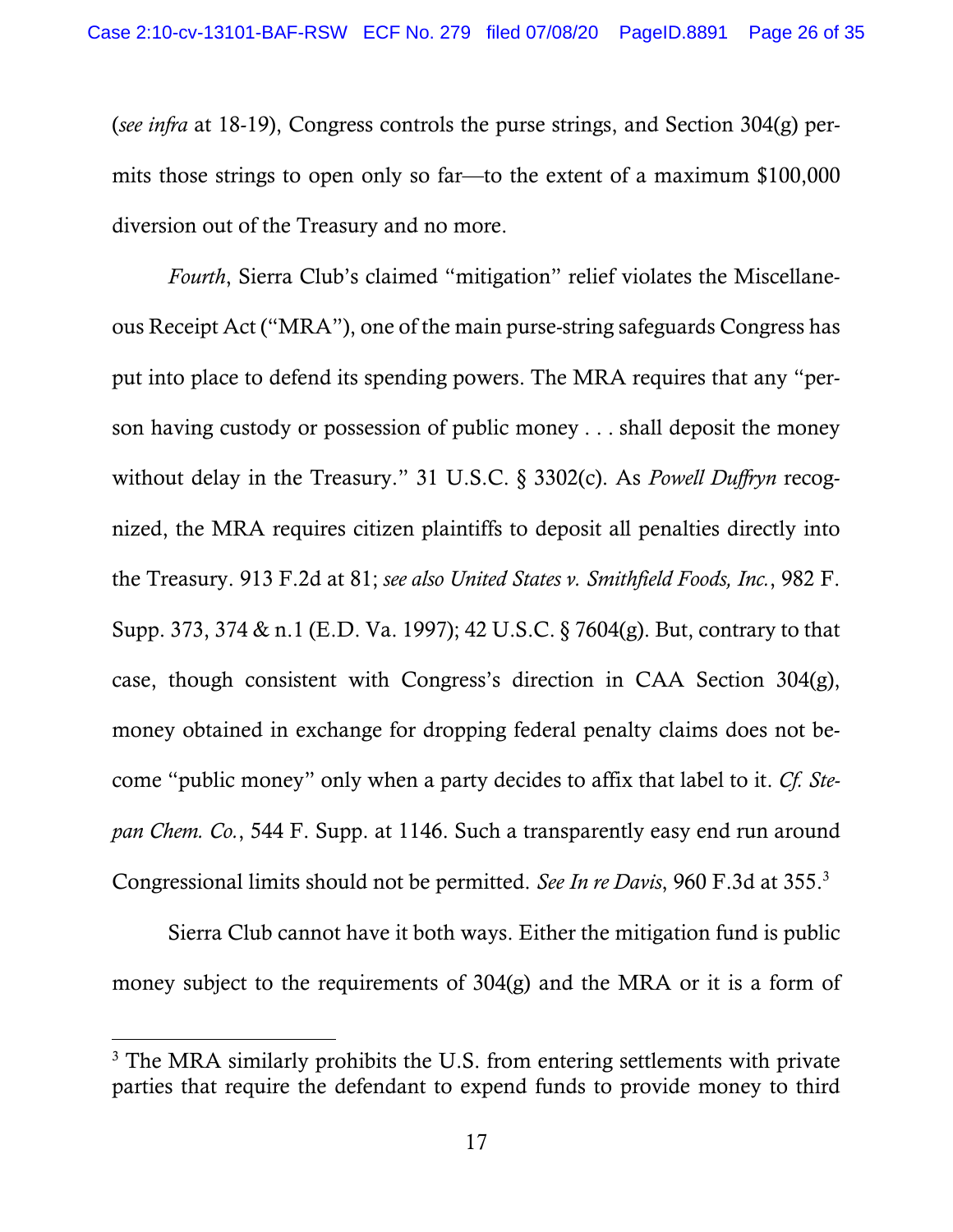(*see infra* at 18-19), Congress controls the purse strings, and Section 304(g) permits those strings to open only so far—to the extent of a maximum \$100,000 diversion out of the Treasury and no more.

*Fourth*, Sierra Club's claimed "mitigation" relief violates the Miscellaneous Receipt Act ("MRA"), one of the main purse-string safeguards Congress has put into place to defend its spending powers. The MRA requires that any "person having custody or possession of public money . . . shall deposit the money without delay in the Treasury." 31 U.S.C. § 3302(c). As *Powell Duffryn* recognized, the MRA requires citizen plaintiffs to deposit all penalties directly into the Treasury. 913 F.2d at 81; *see also United States v. Smithfield Foods, Inc.*, 982 F. Supp. 373, 374 & n.1 (E.D. Va. 1997); 42 U.S.C. § 7604(g). But, contrary to that case, though consistent with Congress's direction in CAA Section 304(g), money obtained in exchange for dropping federal penalty claims does not become "public money" only when a party decides to affix that label to it. *Cf. Stepan Chem. Co.*, 544 F. Supp. at 1146. Such a transparently easy end run around Congressional limits should not be permitted. *See In re Davis*, 960 F.3d at 355.3

Sierra Club cannot have it both ways. Either the mitigation fund is public money subject to the requirements of 304(g) and the MRA or it is a form of

 $\overline{a}$ 

<sup>&</sup>lt;sup>3</sup> The MRA similarly prohibits the U.S. from entering settlements with private parties that require the defendant to expend funds to provide money to third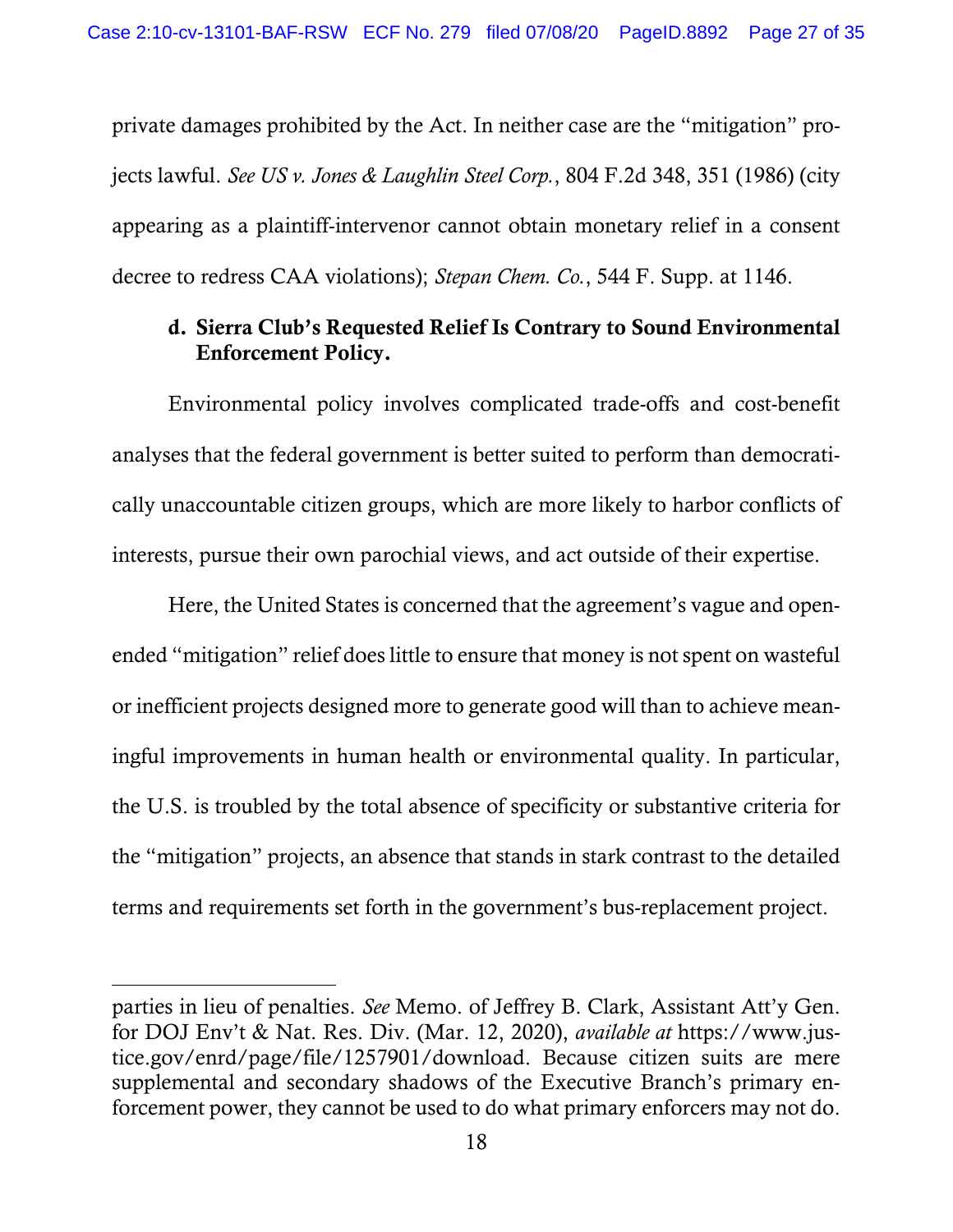private damages prohibited by the Act. In neither case are the "mitigation" projects lawful. *See US v. Jones & Laughlin Steel Corp.*, 804 F.2d 348, 351 (1986) (city appearing as a plaintiff-intervenor cannot obtain monetary relief in a consent decree to redress CAA violations); *Stepan Chem. Co.*, 544 F. Supp. at 1146.

# d. Sierra Club's Requested Relief Is Contrary to Sound Environmental Enforcement Policy.

Environmental policy involves complicated trade-offs and cost-benefit analyses that the federal government is better suited to perform than democratically unaccountable citizen groups, which are more likely to harbor conflicts of interests, pursue their own parochial views, and act outside of their expertise.

Here, the United States is concerned that the agreement's vague and openended "mitigation" relief does little to ensure that money is not spent on wasteful or inefficient projects designed more to generate good will than to achieve meaningful improvements in human health or environmental quality. In particular, the U.S. is troubled by the total absence of specificity or substantive criteria for the "mitigation" projects, an absence that stands in stark contrast to the detailed terms and requirements set forth in the government's bus-replacement project.

 $\overline{a}$ 

parties in lieu of penalties. *See* Memo. of Jeffrey B. Clark, Assistant Att'y Gen. for DOJ Env't & Nat. Res. Div. (Mar. 12, 2020), *available at* https://www.justice.gov/enrd/page/file/1257901/download. Because citizen suits are mere supplemental and secondary shadows of the Executive Branch's primary enforcement power, they cannot be used to do what primary enforcers may not do.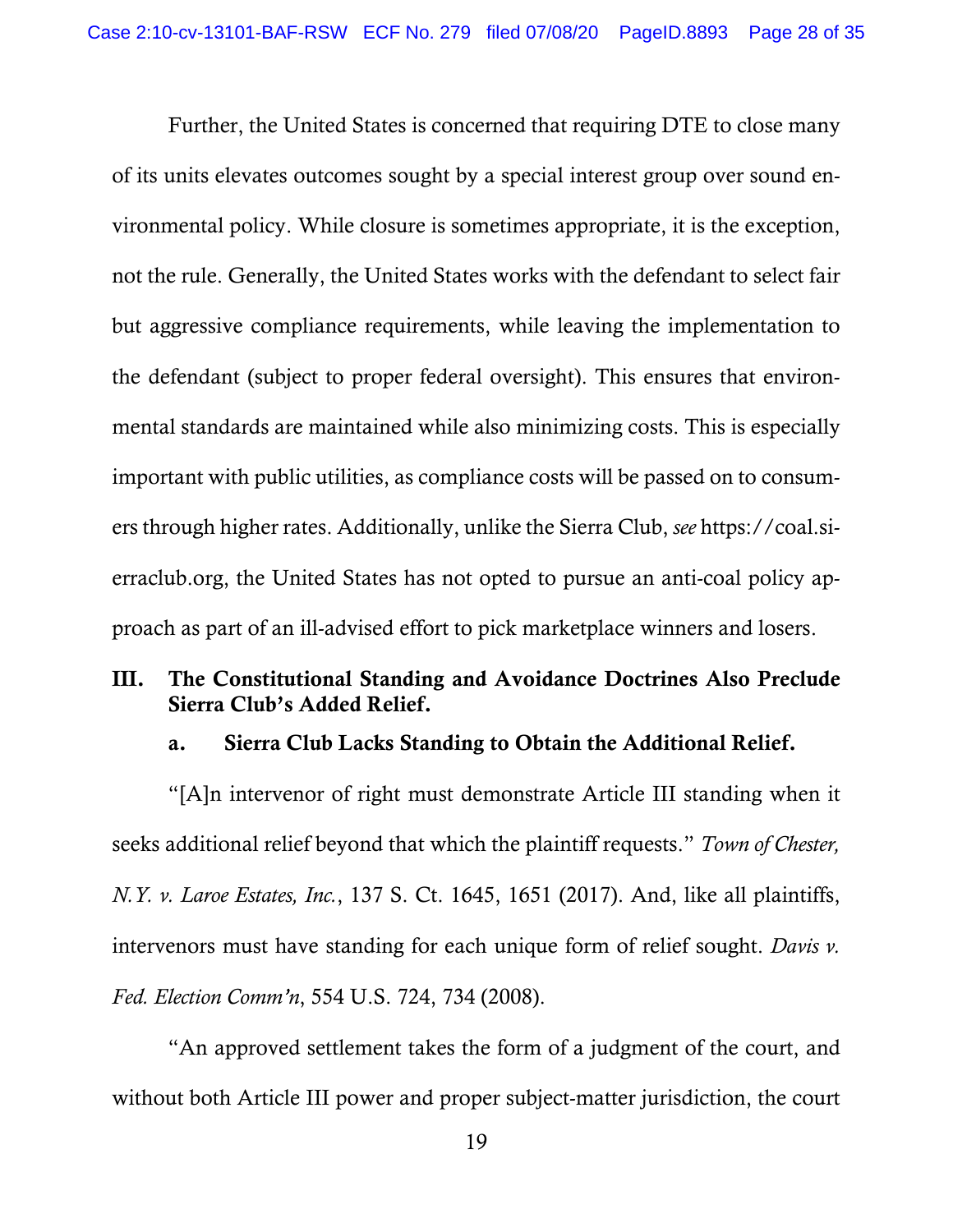Further, the United States is concerned that requiring DTE to close many of its units elevates outcomes sought by a special interest group over sound environmental policy. While closure is sometimes appropriate, it is the exception, not the rule. Generally, the United States works with the defendant to select fair but aggressive compliance requirements, while leaving the implementation to the defendant (subject to proper federal oversight). This ensures that environmental standards are maintained while also minimizing costs. This is especially important with public utilities, as compliance costs will be passed on to consumers through higher rates. Additionally, unlike the Sierra Club, *see* https://coal.sierraclub.org, the United States has not opted to pursue an anti-coal policy approach as part of an ill-advised effort to pick marketplace winners and losers.

## III. The Constitutional Standing and Avoidance Doctrines Also Preclude Sierra Club's Added Relief.

#### a. Sierra Club Lacks Standing to Obtain the Additional Relief.

"[A]n intervenor of right must demonstrate Article III standing when it seeks additional relief beyond that which the plaintiff requests." *Town of Chester, N.Y. v. Laroe Estates, Inc.*, 137 S. Ct. 1645, 1651 (2017). And, like all plaintiffs, intervenors must have standing for each unique form of relief sought. *Davis v. Fed. Election Comm'n*, 554 U.S. 724, 734 (2008).

"An approved settlement takes the form of a judgment of the court, and without both Article III power and proper subject-matter jurisdiction, the court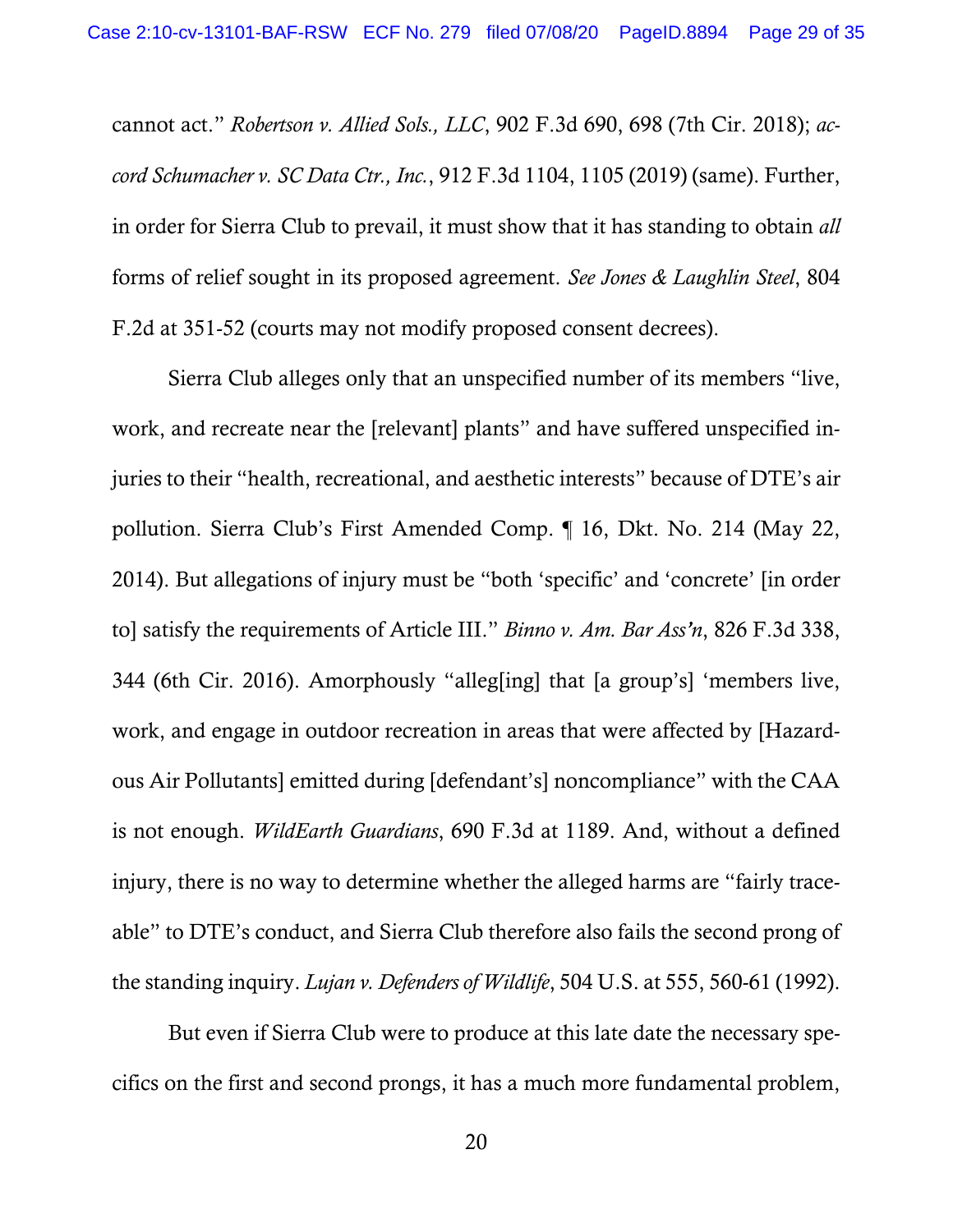cannot act." *Robertson v. Allied Sols., LLC*, 902 F.3d 690, 698 (7th Cir. 2018); *accord Schumacher v. SC Data Ctr., Inc.*, 912 F.3d 1104, 1105 (2019) (same). Further, in order for Sierra Club to prevail, it must show that it has standing to obtain *all* forms of relief sought in its proposed agreement. *See Jones & Laughlin Steel*, 804 F.2d at 351-52 (courts may not modify proposed consent decrees).

Sierra Club alleges only that an unspecified number of its members "live, work, and recreate near the [relevant] plants" and have suffered unspecified injuries to their "health, recreational, and aesthetic interests" because of DTE's air pollution. Sierra Club's First Amended Comp. ¶ 16, Dkt. No. 214 (May 22, 2014). But allegations of injury must be "both 'specific' and 'concrete' [in order to] satisfy the requirements of Article III." *Binno v. Am. Bar Ass'n*, 826 F.3d 338, 344 (6th Cir. 2016). Amorphously "alleg[ing] that [a group's] 'members live, work, and engage in outdoor recreation in areas that were affected by [Hazardous Air Pollutants] emitted during [defendant's] noncompliance" with the CAA is not enough. *WildEarth Guardians*, 690 F.3d at 1189. And, without a defined injury, there is no way to determine whether the alleged harms are "fairly traceable" to DTE's conduct, and Sierra Club therefore also fails the second prong of the standing inquiry. *Lujan v. Defenders of Wildlife*, 504 U.S. at 555, 560-61 (1992).

But even if Sierra Club were to produce at this late date the necessary specifics on the first and second prongs, it has a much more fundamental problem,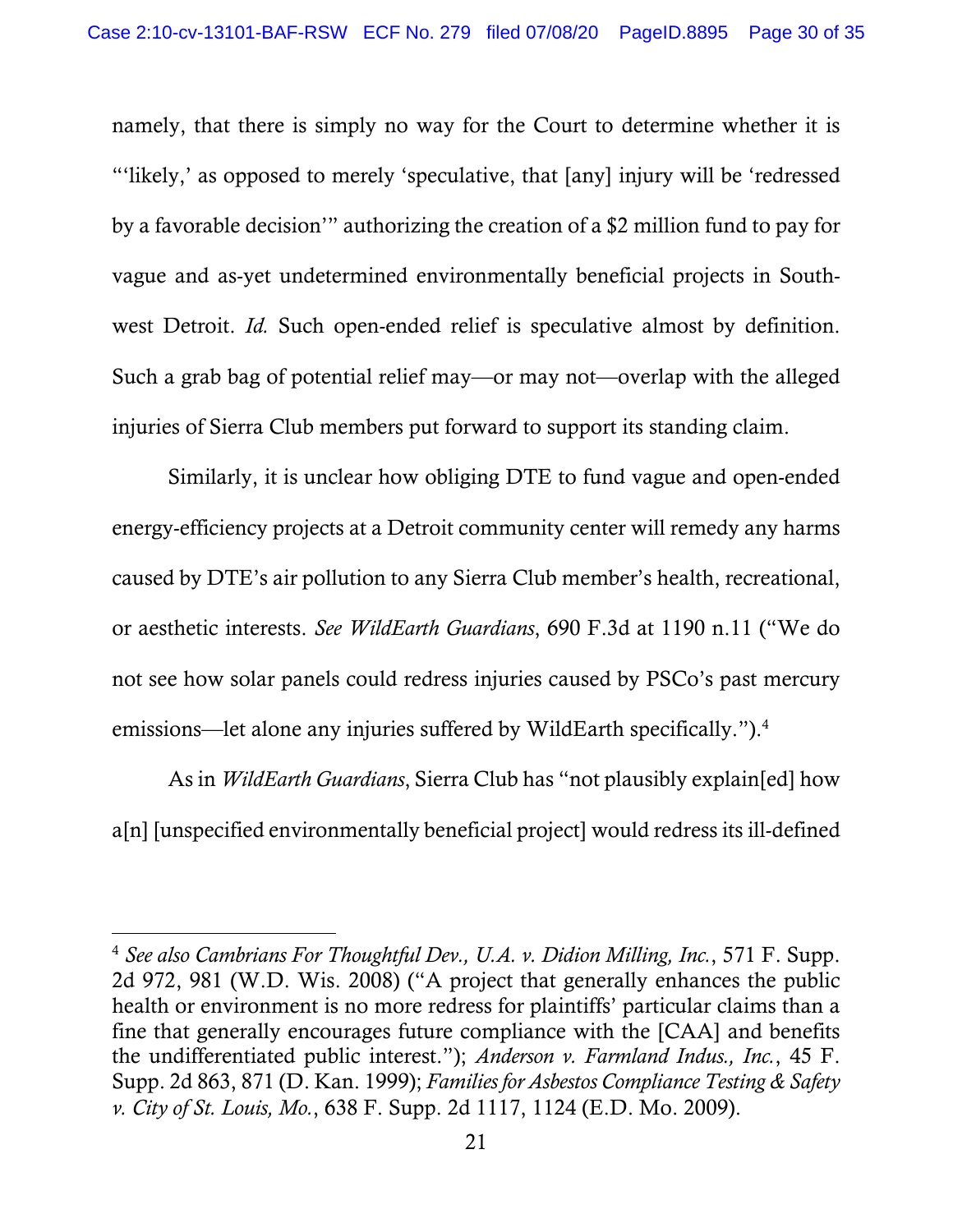namely, that there is simply no way for the Court to determine whether it is "'likely,' as opposed to merely 'speculative, that [any] injury will be 'redressed by a favorable decision'" authorizing the creation of a \$2 million fund to pay for vague and as-yet undetermined environmentally beneficial projects in Southwest Detroit. *Id.* Such open-ended relief is speculative almost by definition. Such a grab bag of potential relief may—or may not—overlap with the alleged injuries of Sierra Club members put forward to support its standing claim.

Similarly, it is unclear how obliging DTE to fund vague and open-ended energy-efficiency projects at a Detroit community center will remedy any harms caused by DTE's air pollution to any Sierra Club member's health, recreational, or aesthetic interests. *See WildEarth Guardians*, 690 F.3d at 1190 n.11 ("We do not see how solar panels could redress injuries caused by PSCo's past mercury emissions—let alone any injuries suffered by WildEarth specifically.").<sup>4</sup>

As in *WildEarth Guardians*, Sierra Club has "not plausibly explain[ed] how a[n] [unspecified environmentally beneficial project] would redress its ill-defined

 $\overline{a}$ 

<sup>4</sup> *See also Cambrians For Thoughtful Dev., U.A. v. Didion Milling, Inc.*, 571 F. Supp. 2d 972, 981 (W.D. Wis. 2008) ("A project that generally enhances the public health or environment is no more redress for plaintiffs' particular claims than a fine that generally encourages future compliance with the [CAA] and benefits the undifferentiated public interest."); *Anderson v. Farmland Indus., Inc.*, 45 F. Supp. 2d 863, 871 (D. Kan. 1999); *Families for Asbestos Compliance Testing & Safety v. City of St. Louis, Mo.*, 638 F. Supp. 2d 1117, 1124 (E.D. Mo. 2009).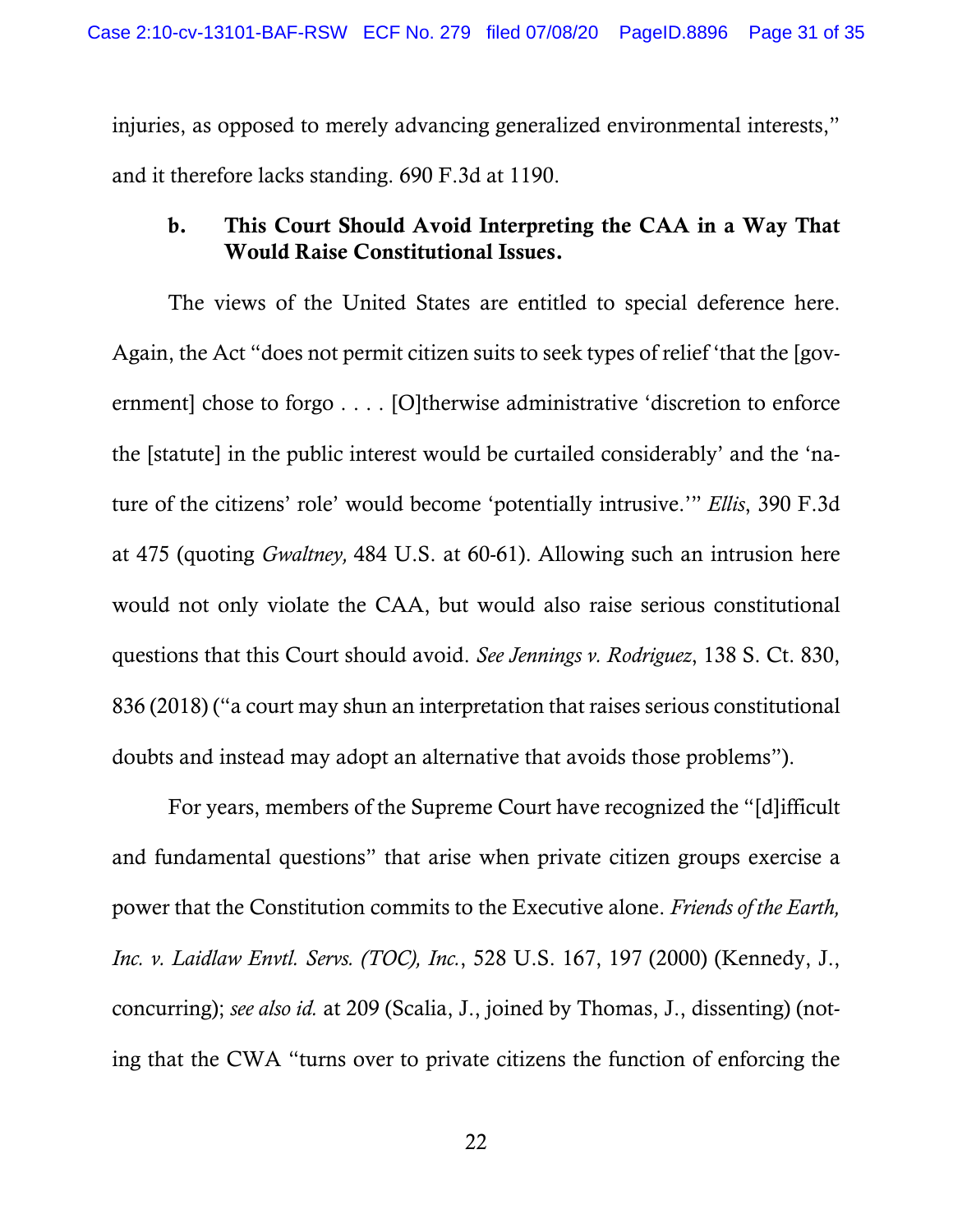injuries, as opposed to merely advancing generalized environmental interests," and it therefore lacks standing. 690 F.3d at 1190.

## b. This Court Should Avoid Interpreting the CAA in a Way That Would Raise Constitutional Issues.

The views of the United States are entitled to special deference here. Again, the Act "does not permit citizen suits to seek types of relief 'that the [government] chose to forgo . . . . [O]therwise administrative 'discretion to enforce the [statute] in the public interest would be curtailed considerably' and the 'nature of the citizens' role' would become 'potentially intrusive.'" *Ellis*, 390 F.3d at 475 (quoting *Gwaltney,* 484 U.S. at 60-61). Allowing such an intrusion here would not only violate the CAA, but would also raise serious constitutional questions that this Court should avoid. *See Jennings v. Rodriguez*, 138 S. Ct. 830, 836 (2018) ("a court may shun an interpretation that raises serious constitutional doubts and instead may adopt an alternative that avoids those problems").

For years, members of the Supreme Court have recognized the "[d]ifficult and fundamental questions" that arise when private citizen groups exercise a power that the Constitution commits to the Executive alone. *Friends of the Earth, Inc. v. Laidlaw Envtl. Servs. (TOC), Inc.*, 528 U.S. 167, 197 (2000) (Kennedy, J., concurring); *see also id.* at 209 (Scalia, J., joined by Thomas, J., dissenting) (noting that the CWA "turns over to private citizens the function of enforcing the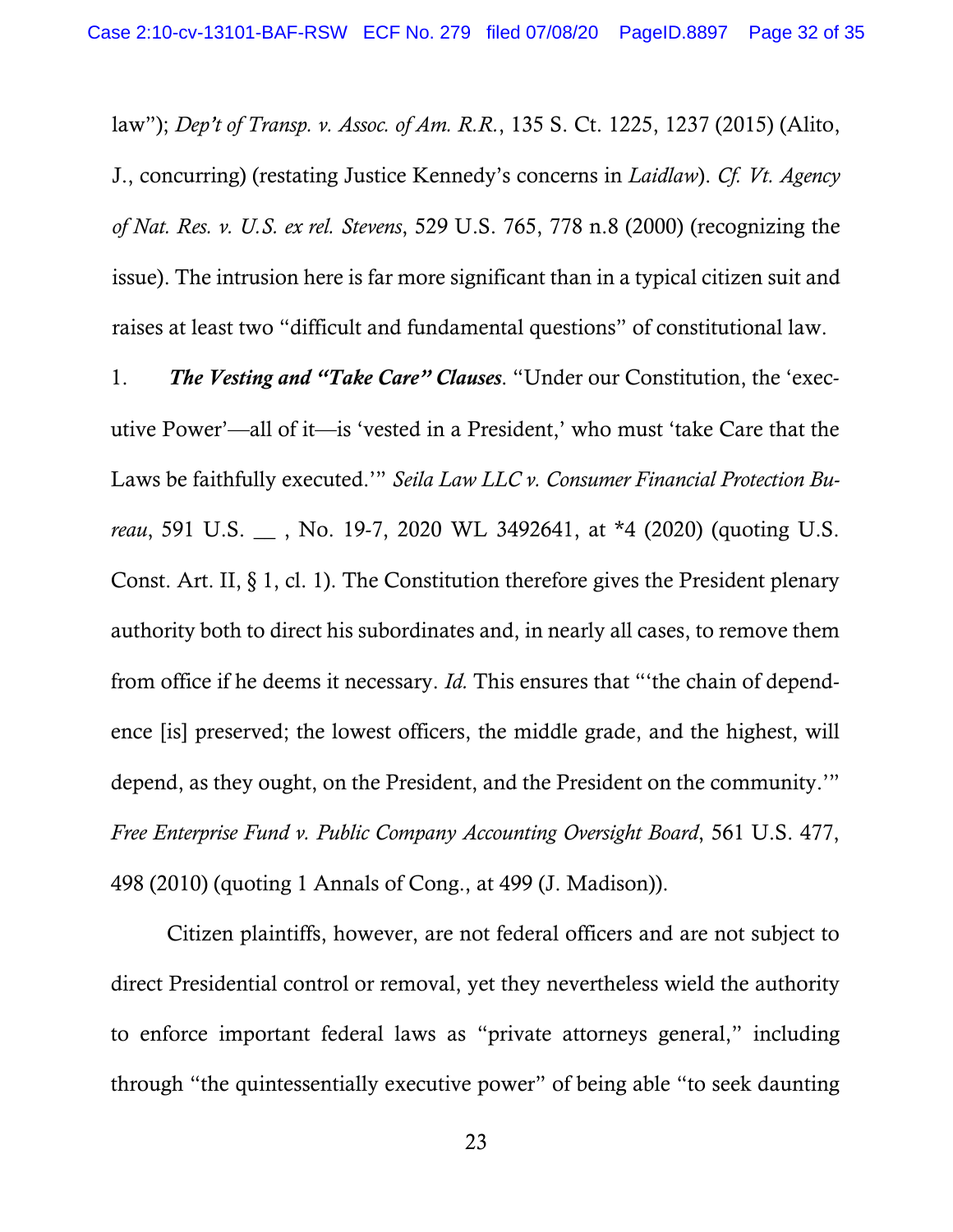law"); *Dep't of Transp. v. Assoc. of Am. R.R.*, 135 S. Ct. 1225, 1237 (2015) (Alito, J., concurring) (restating Justice Kennedy's concerns in *Laidlaw*). *Cf. Vt. Agency of Nat. Res. v. U.S. ex rel. Stevens*, 529 U.S. 765, 778 n.8 (2000) (recognizing the issue). The intrusion here is far more significant than in a typical citizen suit and raises at least two "difficult and fundamental questions" of constitutional law.

1. *The Vesting and "Take Care" Clauses*. "Under our Constitution, the 'executive Power'—all of it—is 'vested in a President,' who must 'take Care that the Laws be faithfully executed.'" *Seila Law LLC v. Consumer Financial Protection Bureau*, 591 U.S. \_\_ , No. 19-7, 2020 WL 3492641, at \*4 (2020) (quoting U.S. Const. Art. II, § 1, cl. 1). The Constitution therefore gives the President plenary authority both to direct his subordinates and, in nearly all cases, to remove them from office if he deems it necessary. *Id.* This ensures that "'the chain of dependence [is] preserved; the lowest officers, the middle grade, and the highest, will depend, as they ought, on the President, and the President on the community.'" *Free Enterprise Fund v. Public Company Accounting Oversight Board*, 561 U.S. 477, 498 (2010) (quoting 1 Annals of Cong., at 499 (J. Madison)).

Citizen plaintiffs, however, are not federal officers and are not subject to direct Presidential control or removal, yet they nevertheless wield the authority to enforce important federal laws as "private attorneys general," including through "the quintessentially executive power" of being able "to seek daunting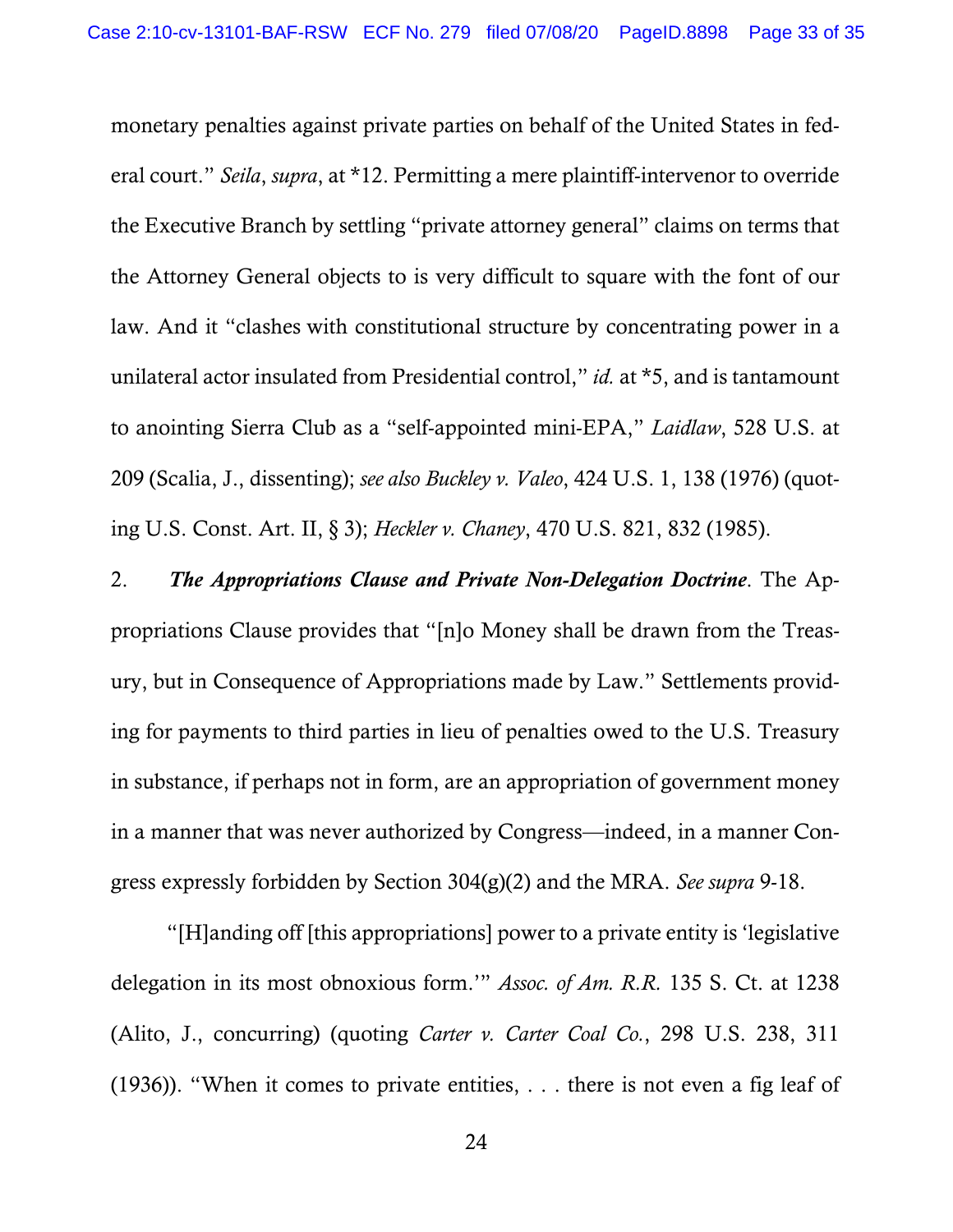monetary penalties against private parties on behalf of the United States in federal court." *Seila*, *supra*, at \*12. Permitting a mere plaintiff-intervenor to override the Executive Branch by settling "private attorney general" claims on terms that the Attorney General objects to is very difficult to square with the font of our law. And it "clashes with constitutional structure by concentrating power in a unilateral actor insulated from Presidential control," *id.* at \*5, and is tantamount to anointing Sierra Club as a "self-appointed mini-EPA," *Laidlaw*, 528 U.S. at 209 (Scalia, J., dissenting); *see also Buckley v. Valeo*, 424 U.S. 1, 138 (1976) (quoting U.S. Const. Art. II, § 3); *Heckler v. Chaney*, 470 U.S. 821, 832 (1985).

2. *The Appropriations Clause and Private Non-Delegation Doctrine*. The Appropriations Clause provides that "[n]o Money shall be drawn from the Treasury, but in Consequence of Appropriations made by Law." Settlements providing for payments to third parties in lieu of penalties owed to the U.S. Treasury in substance, if perhaps not in form, are an appropriation of government money in a manner that was never authorized by Congress—indeed, in a manner Congress expressly forbidden by Section 304(g)(2) and the MRA. *See supra* 9-18.

"[H]anding off [this appropriations] power to a private entity is 'legislative delegation in its most obnoxious form.'" *Assoc. of Am. R.R.* 135 S. Ct. at 1238 (Alito, J., concurring) (quoting *Carter v. Carter Coal Co.*, 298 U.S. 238, 311 (1936)). "When it comes to private entities, . . . there is not even a fig leaf of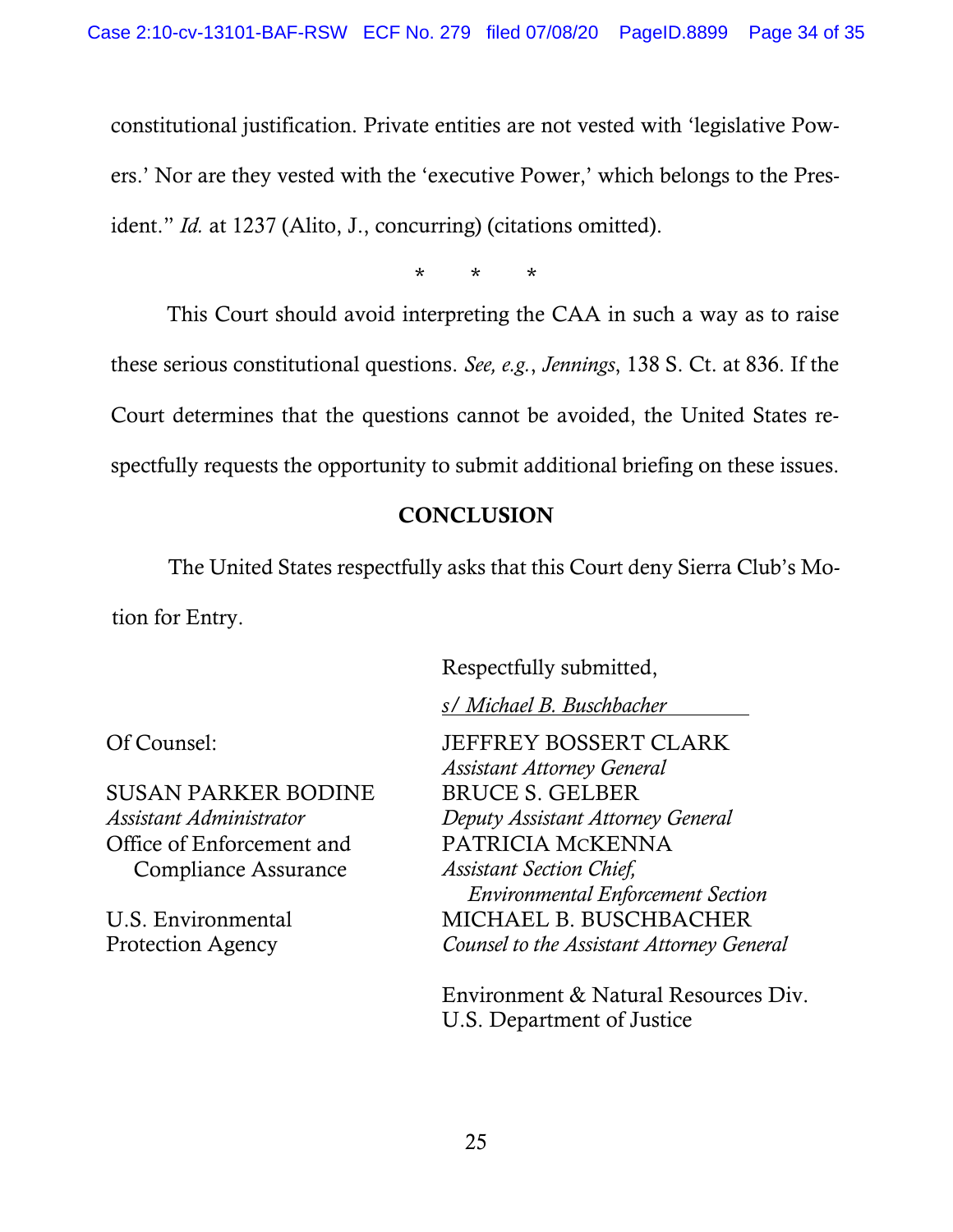constitutional justification. Private entities are not vested with 'legislative Powers.' Nor are they vested with the 'executive Power,' which belongs to the President." *Id.* at 1237 (Alito, J., concurring) (citations omitted).

\* \* \*

This Court should avoid interpreting the CAA in such a way as to raise these serious constitutional questions. *See, e.g.*, *Jennings*, 138 S. Ct. at 836. If the Court determines that the questions cannot be avoided, the United States respectfully requests the opportunity to submit additional briefing on these issues.

# **CONCLUSION**

The United States respectfully asks that this Court deny Sierra Club's Motion for Entry.

Respectfully submitted,

*s/ Michael B. Buschbacher* I

SUSAN PARKER BODINE *Assistant Administrator* Office of Enforcement and Compliance Assurance

U.S. Environmental Protection Agency

Of Counsel: **JEFFREY BOSSERT CLARK** *Assistant Attorney General* BRUCE S. GELBER *Deputy Assistant Attorney General*  PATRICIA MCKENNA *Assistant Section Chief, Environmental Enforcement Section*  MICHAEL B. BUSCHBACHER *Counsel to the Assistant Attorney General* 

> Environment & Natural Resources Div. U.S. Department of Justice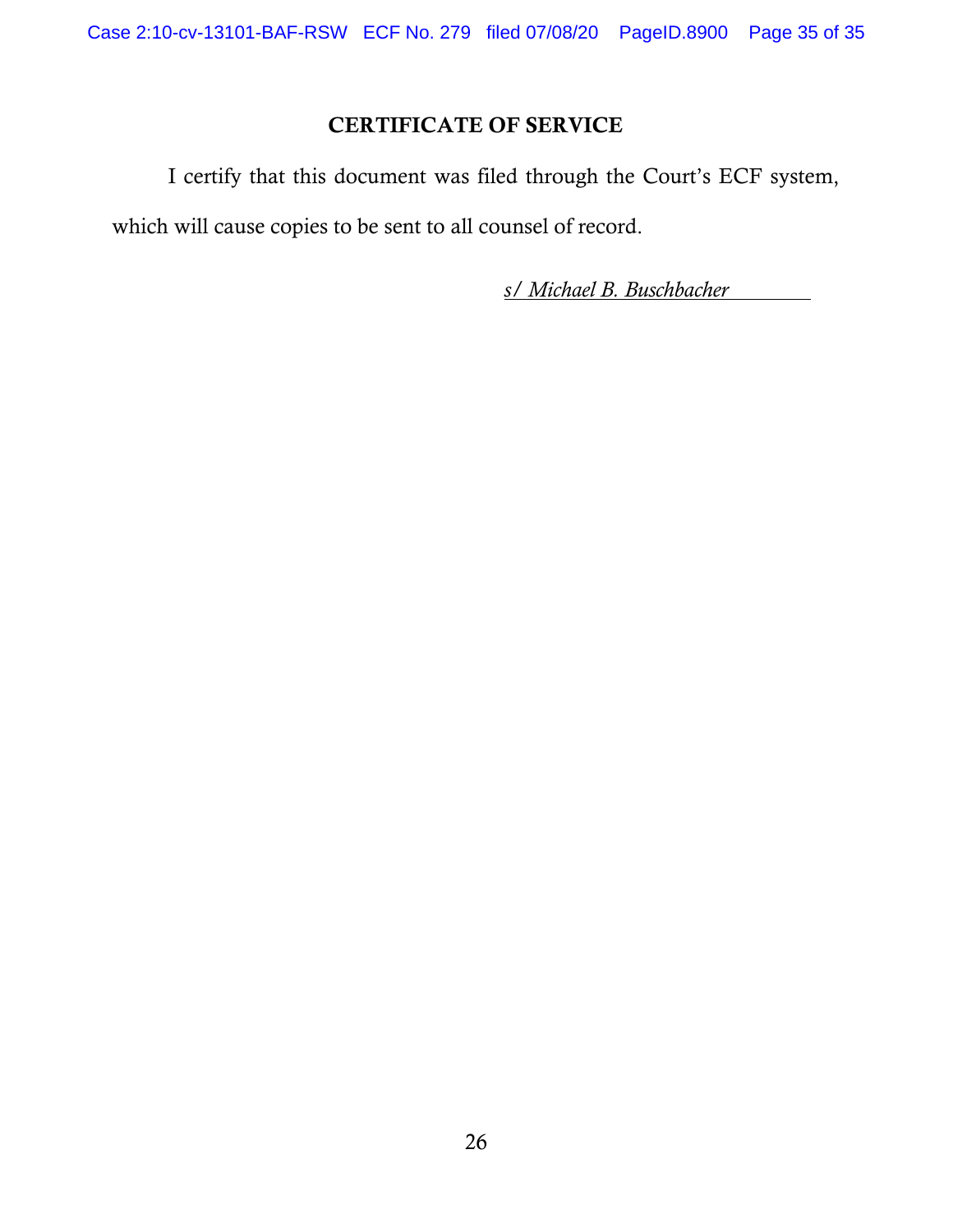# CERTIFICATE OF SERVICE

 I certify that this document was filed through the Court's ECF system, which will cause copies to be sent to all counsel of record.

*s/ Michael B. Buschbacher* I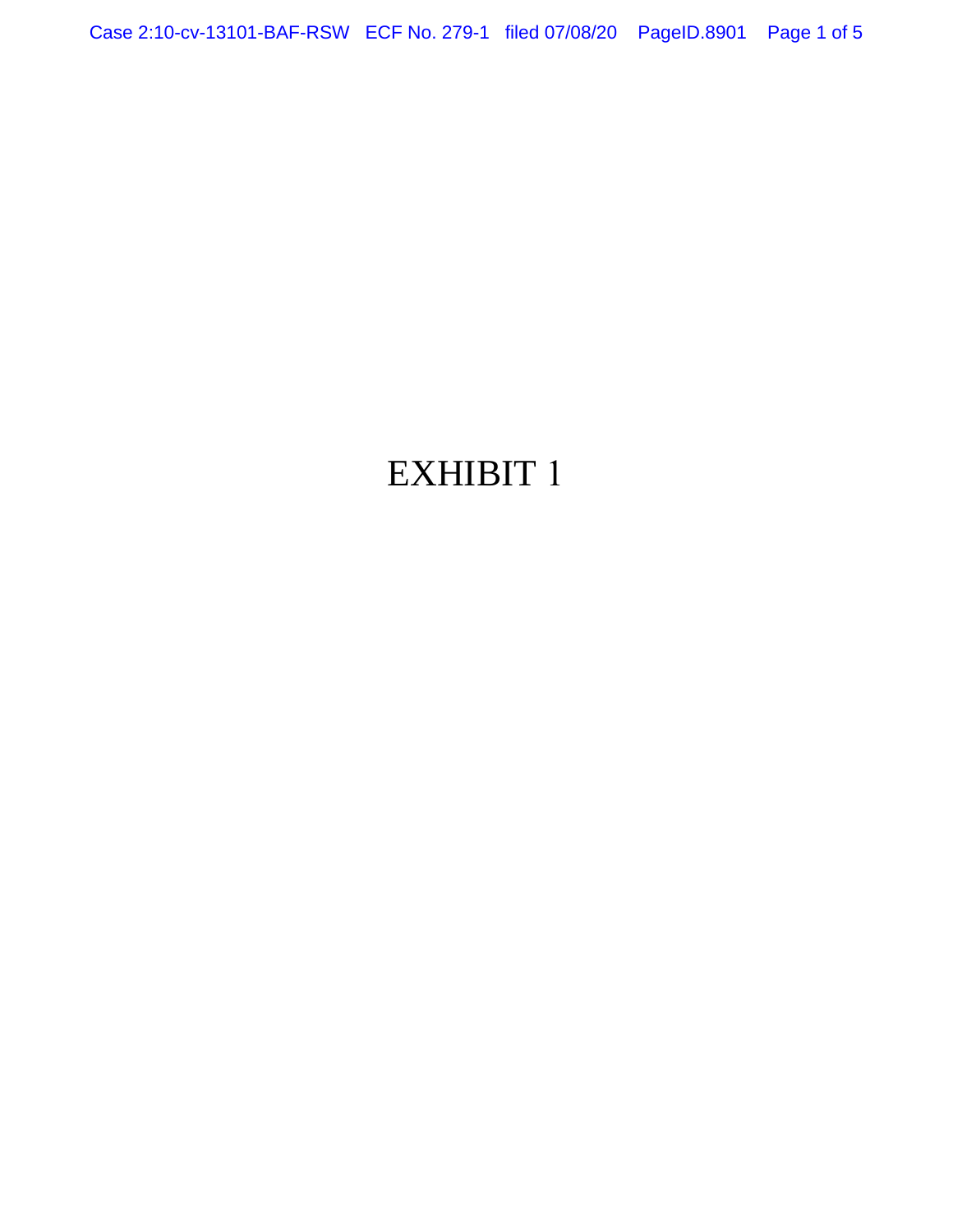Case 2:10-cv-13101-BAF-RSW ECF No. 279-1 filed 07/08/20 PageID.8901 Page 1 of 5

# EXHIBIT 1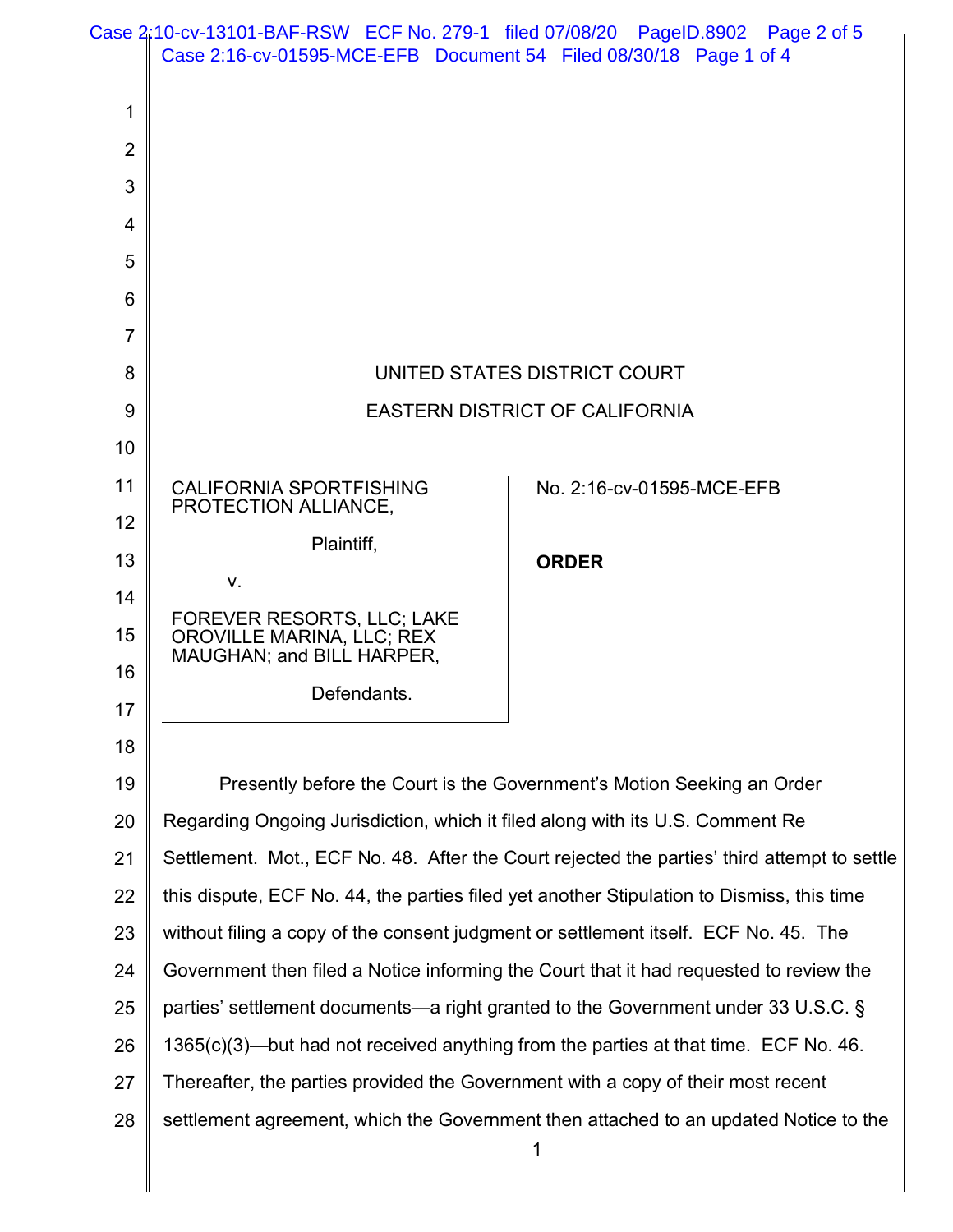|                | Case 2:10-cv-13101-BAF-RSW ECF No. 279-1 filed 07/08/20 PageID.8902 Page 2 of 5<br>Case 2:16-cv-01595-MCE-EFB Document 54 Filed 08/30/18 Page 1 of 4 |                                                                                             |
|----------------|------------------------------------------------------------------------------------------------------------------------------------------------------|---------------------------------------------------------------------------------------------|
|                |                                                                                                                                                      |                                                                                             |
| 1              |                                                                                                                                                      |                                                                                             |
| $\overline{2}$ |                                                                                                                                                      |                                                                                             |
| 3              |                                                                                                                                                      |                                                                                             |
| 4              |                                                                                                                                                      |                                                                                             |
| 5              |                                                                                                                                                      |                                                                                             |
| 6              |                                                                                                                                                      |                                                                                             |
| $\overline{7}$ |                                                                                                                                                      |                                                                                             |
| 8              |                                                                                                                                                      | UNITED STATES DISTRICT COURT                                                                |
| 9              |                                                                                                                                                      | <b>EASTERN DISTRICT OF CALIFORNIA</b>                                                       |
| 10             |                                                                                                                                                      |                                                                                             |
| 11             | <b>CALIFORNIA SPORTFISHING</b><br>PROTECTION ALLIANCE,                                                                                               | No. 2:16-cv-01595-MCE-EFB                                                                   |
| 12             | Plaintiff,                                                                                                                                           |                                                                                             |
| 13             | v.                                                                                                                                                   | <b>ORDER</b>                                                                                |
| 14             | FOREVER RESORTS, LLC; LAKE                                                                                                                           |                                                                                             |
| 15             | <b>OROVILLE MARINA, LLC; REX</b><br>MAUGHAN; and BILL HARPER,                                                                                        |                                                                                             |
| 16             | Defendants.                                                                                                                                          |                                                                                             |
| 17             |                                                                                                                                                      |                                                                                             |
| 18             |                                                                                                                                                      |                                                                                             |
| 19             |                                                                                                                                                      | Presently before the Court is the Government's Motion Seeking an Order                      |
| 20             | Regarding Ongoing Jurisdiction, which it filed along with its U.S. Comment Re                                                                        |                                                                                             |
| 21             |                                                                                                                                                      | Settlement. Mot., ECF No. 48. After the Court rejected the parties' third attempt to settle |
| 22             |                                                                                                                                                      | this dispute, ECF No. 44, the parties filed yet another Stipulation to Dismiss, this time   |
| 23             | without filing a copy of the consent judgment or settlement itself. ECF No. 45. The                                                                  |                                                                                             |
| 24             |                                                                                                                                                      | Government then filed a Notice informing the Court that it had requested to review the      |
| 25             |                                                                                                                                                      | parties' settlement documents—a right granted to the Government under 33 U.S.C. §           |
| 26             |                                                                                                                                                      | $1365(c)(3)$ —but had not received anything from the parties at that time. ECF No. 46.      |
| 27             | Thereafter, the parties provided the Government with a copy of their most recent                                                                     |                                                                                             |
| 28             |                                                                                                                                                      | settlement agreement, which the Government then attached to an updated Notice to the        |
|                |                                                                                                                                                      |                                                                                             |
|                |                                                                                                                                                      |                                                                                             |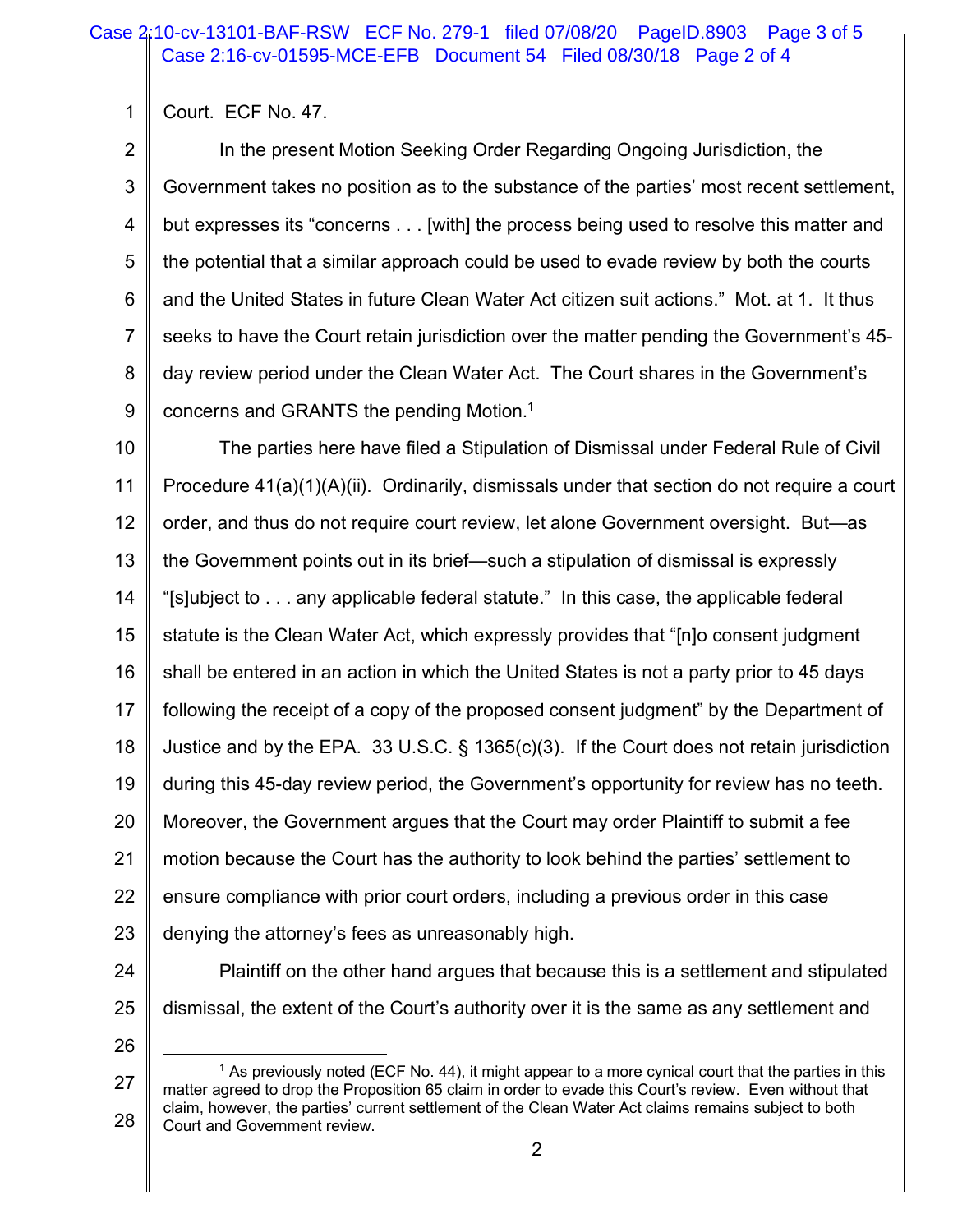1 Court. ECF No. 47.

2 3 4 5 6 7 8 9 In the present Motion Seeking Order Regarding Ongoing Jurisdiction, the Government takes no position as to the substance of the parties' most recent settlement, but expresses its "concerns . . . [with] the process being used to resolve this matter and the potential that a similar approach could be used to evade review by both the courts and the United States in future Clean Water Act citizen suit actions." Mot. at 1. It thus seeks to have the Court retain jurisdiction over the matter pending the Government's 45 day review period under the Clean Water Act. The Court shares in the Government's concerns and GRANTS the pending Motion. 1

10 11 12 13 14 15 16 17 18 19 20 21 22 23 The parties here have filed a Stipulation of Dismissal under Federal Rule of Civil Procedure 41(a)(1)(A)(ii). Ordinarily, dismissals under that section do not require a court order, and thus do not require court review, let alone Government oversight. But—as the Government points out in its brief—such a stipulation of dismissal is expressly "[s]ubject to . . . any applicable federal statute." In this case, the applicable federal statute is the Clean Water Act, which expressly provides that "[n]o consent judgment shall be entered in an action in which the United States is not a party prior to 45 days following the receipt of a copy of the proposed consent judgment" by the Department of Justice and by the EPA. 33 U.S.C. § 1365(c)(3). If the Court does not retain jurisdiction during this 45-day review period, the Government's opportunity for review has no teeth. Moreover, the Government argues that the Court may order Plaintiff to submit a fee motion because the Court has the authority to look behind the parties' settlement to ensure compliance with prior court orders, including a previous order in this case denying the attorney's fees as unreasonably high.

- 24 25 Plaintiff on the other hand argues that because this is a settlement and stipulated dismissal, the extent of the Court's authority over it is the same as any settlement and
- 26

<sup>27</sup> 28  $<sup>1</sup>$  As previously noted (ECF No. 44), it might appear to a more cynical court that the parties in this</sup> matter agreed to drop the Proposition 65 claim in order to evade this Court's review. Even without that claim, however, the parties' current settlement of the Clean Water Act claims remains subject to both Court and Government review.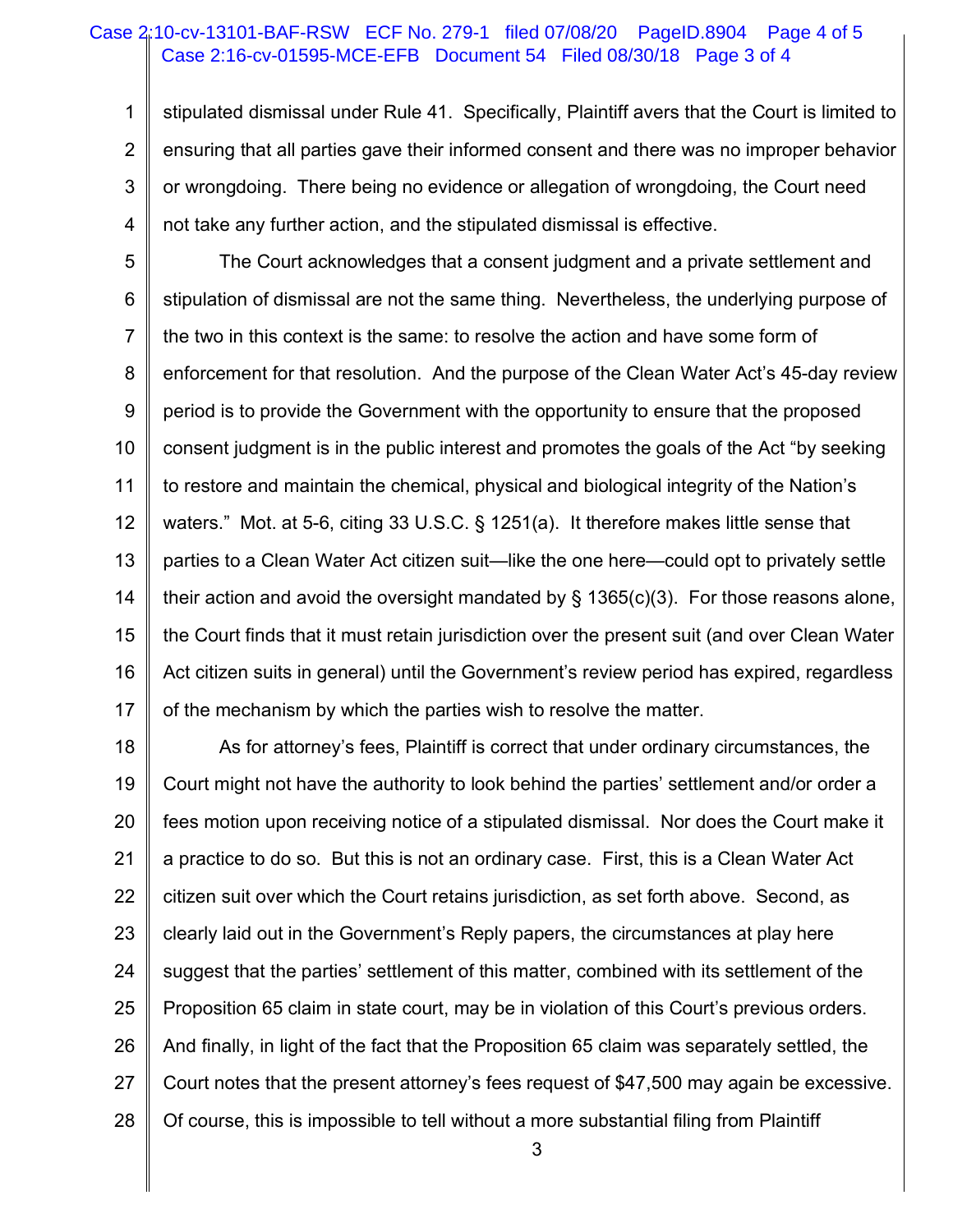#### Case 2:16-cv-01595-MCE-EFB Document 54 Filed 08/30/18 Page 3 of 4 Case 2:10-cv-13101-BAF-RSW ECF No. 279-1 filed 07/08/20 PageID.8904 Page 4 of 5

1 2 3 4 stipulated dismissal under Rule 41. Specifically, Plaintiff avers that the Court is limited to ensuring that all parties gave their informed consent and there was no improper behavior or wrongdoing. There being no evidence or allegation of wrongdoing, the Court need not take any further action, and the stipulated dismissal is effective.

5 6 7 8 9 10 11 12 13 14 15 16 17 The Court acknowledges that a consent judgment and a private settlement and stipulation of dismissal are not the same thing. Nevertheless, the underlying purpose of the two in this context is the same: to resolve the action and have some form of enforcement for that resolution. And the purpose of the Clean Water Act's 45-day review period is to provide the Government with the opportunity to ensure that the proposed consent judgment is in the public interest and promotes the goals of the Act "by seeking to restore and maintain the chemical, physical and biological integrity of the Nation's waters." Mot. at 5-6, citing 33 U.S.C. § 1251(a). It therefore makes little sense that parties to a Clean Water Act citizen suit—like the one here—could opt to privately settle their action and avoid the oversight mandated by  $\S$  1365(c)(3). For those reasons alone, the Court finds that it must retain jurisdiction over the present suit (and over Clean Water Act citizen suits in general) until the Government's review period has expired, regardless of the mechanism by which the parties wish to resolve the matter.

18 19 20 21 22 23 24 25 26 27 28 As for attorney's fees, Plaintiff is correct that under ordinary circumstances, the Court might not have the authority to look behind the parties' settlement and/or order a fees motion upon receiving notice of a stipulated dismissal. Nor does the Court make it a practice to do so. But this is not an ordinary case. First, this is a Clean Water Act citizen suit over which the Court retains jurisdiction, as set forth above. Second, as clearly laid out in the Government's Reply papers, the circumstances at play here suggest that the parties' settlement of this matter, combined with its settlement of the Proposition 65 claim in state court, may be in violation of this Court's previous orders. And finally, in light of the fact that the Proposition 65 claim was separately settled, the Court notes that the present attorney's fees request of \$47,500 may again be excessive. Of course, this is impossible to tell without a more substantial filing from Plaintiff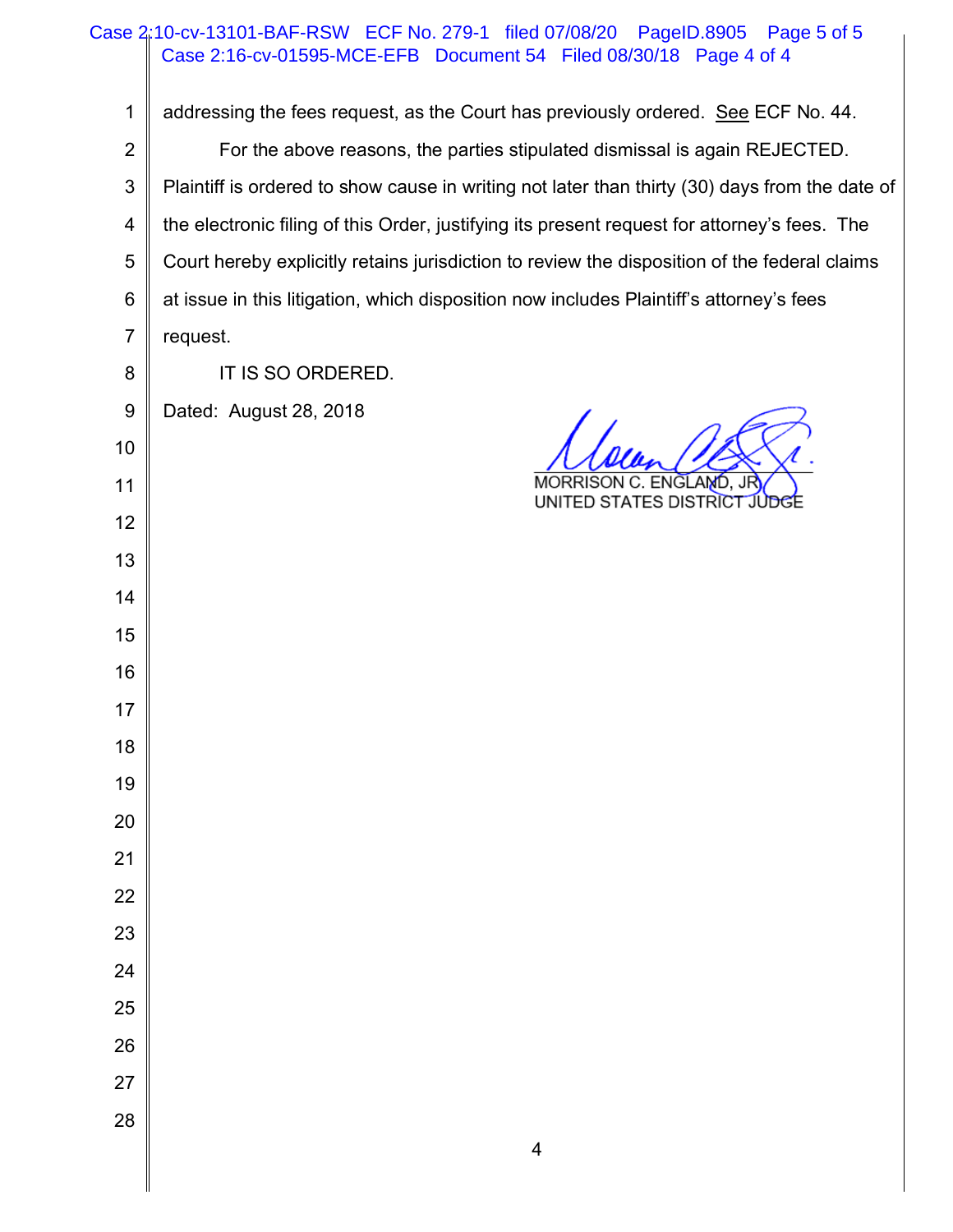|                | Case 2:10-cv-13101-BAF-RSW ECF No. 279-1 filed 07/08/20<br>PageID.8905<br>Page 5 of 5          |
|----------------|------------------------------------------------------------------------------------------------|
|                | Case 2:16-cv-01595-MCE-EFB Document 54 Filed 08/30/18 Page 4 of 4                              |
| 1              | addressing the fees request, as the Court has previously ordered. See ECF No. 44.              |
| $\overline{2}$ | For the above reasons, the parties stipulated dismissal is again REJECTED.                     |
| $\sqrt{3}$     | Plaintiff is ordered to show cause in writing not later than thirty (30) days from the date of |
| 4              | the electronic filing of this Order, justifying its present request for attorney's fees. The   |
| $\mathbf 5$    | Court hereby explicitly retains jurisdiction to review the disposition of the federal claims   |
| 6              | at issue in this litigation, which disposition now includes Plaintiff's attorney's fees        |
| $\overline{7}$ | request.                                                                                       |
| 8              | IT IS SO ORDERED.                                                                              |
| 9              | Dated: August 28, 2018                                                                         |
| 10             |                                                                                                |
| 11             | MORRISON C. ENGLAMD, JR<br>UNITED STATES DISTRICT JUDGE                                        |
| 12             |                                                                                                |
| 13             |                                                                                                |
| 14             |                                                                                                |
| 15             |                                                                                                |
| 16             |                                                                                                |
| 17             |                                                                                                |
| 18             |                                                                                                |
| 19             |                                                                                                |
| $20\,$         |                                                                                                |
| 21             |                                                                                                |
| 22             |                                                                                                |
| 23             |                                                                                                |
| 24             |                                                                                                |
| 25             |                                                                                                |
| 26             |                                                                                                |
| 27             |                                                                                                |
| 28             |                                                                                                |
|                | 4                                                                                              |

║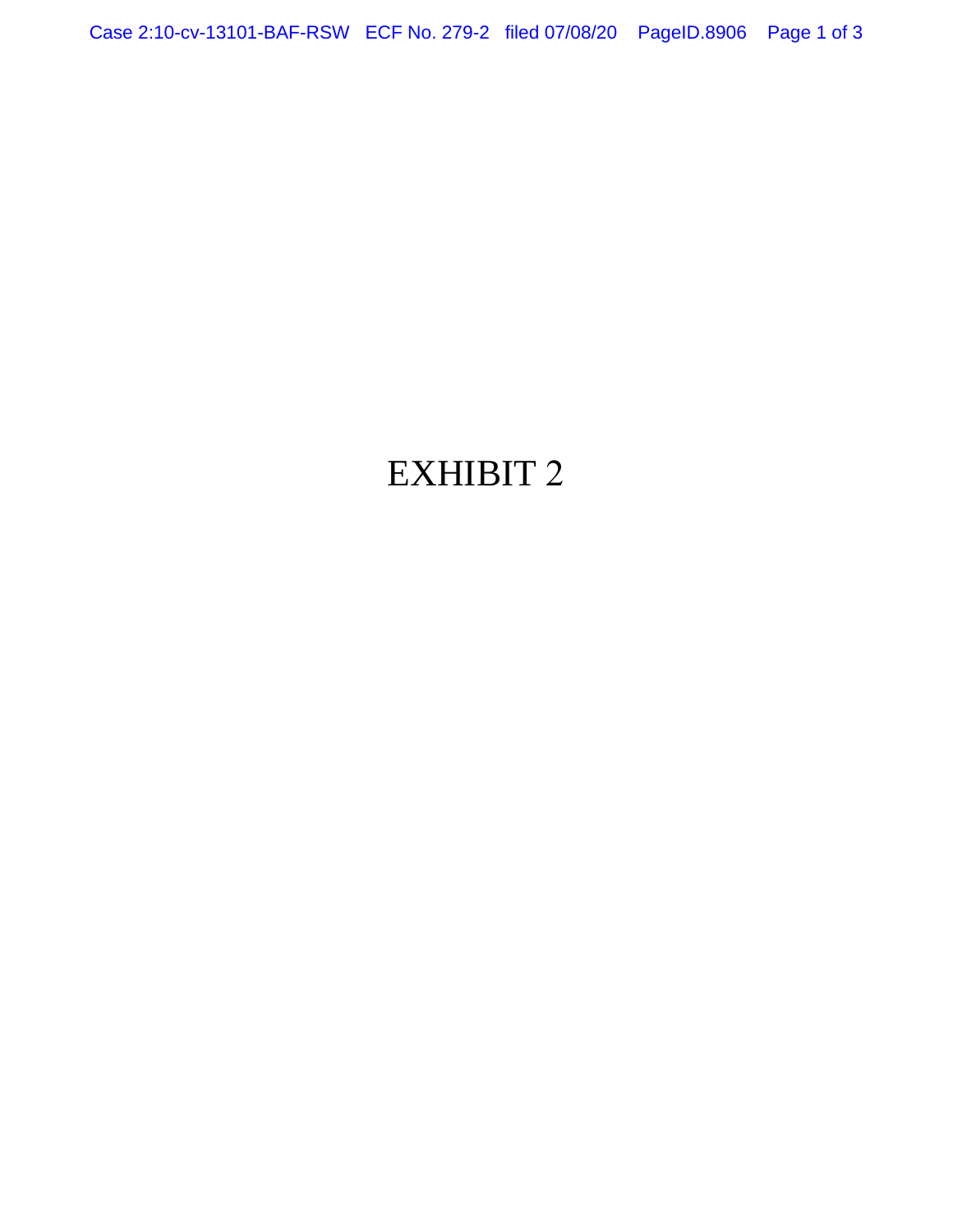Case 2:10-cv-13101-BAF-RSW ECF No. 279-2 filed 07/08/20 PageID.8906 Page 1 of 3

# EXHIBIT 2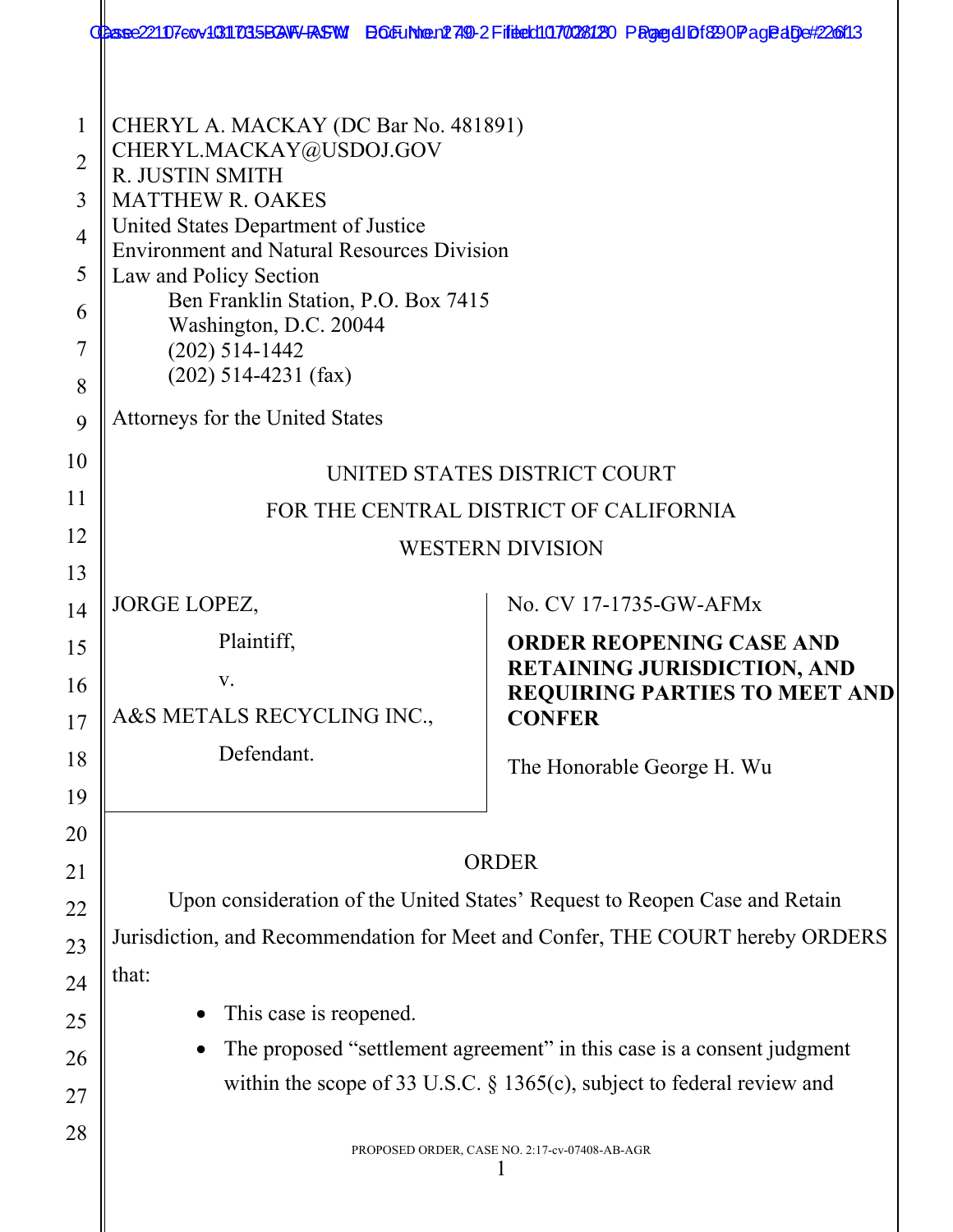|                                                                               | CCBase221107ecv40311035BGNF/RSFW BOEUNter12749-2Fiftect1070028120 PRgege1Df820Page1dDe#226f13                                                                                                                                                                                                                                                                                                |                                                                                                                                |  |
|-------------------------------------------------------------------------------|----------------------------------------------------------------------------------------------------------------------------------------------------------------------------------------------------------------------------------------------------------------------------------------------------------------------------------------------------------------------------------------------|--------------------------------------------------------------------------------------------------------------------------------|--|
| $\mathbf 1$<br>$\overline{2}$<br>3<br>$\overline{4}$<br>5<br>6<br>7<br>8<br>9 | CHERYL A. MACKAY (DC Bar No. 481891)<br>CHERYL.MACKAY@USDOJ.GOV<br>R. JUSTIN SMITH<br><b>MATTHEW R. OAKES</b><br>United States Department of Justice<br><b>Environment and Natural Resources Division</b><br>Law and Policy Section<br>Ben Franklin Station, P.O. Box 7415<br>Washington, D.C. 20044<br>$(202)$ 514-1442<br>$(202)$ 514-4231 (fax)<br><b>Attorneys for the United States</b> |                                                                                                                                |  |
| 10                                                                            |                                                                                                                                                                                                                                                                                                                                                                                              |                                                                                                                                |  |
| 11                                                                            | UNITED STATES DISTRICT COURT<br>FOR THE CENTRAL DISTRICT OF CALIFORNIA                                                                                                                                                                                                                                                                                                                       |                                                                                                                                |  |
| 12                                                                            |                                                                                                                                                                                                                                                                                                                                                                                              | <b>WESTERN DIVISION</b>                                                                                                        |  |
| 13                                                                            |                                                                                                                                                                                                                                                                                                                                                                                              |                                                                                                                                |  |
| 14                                                                            | JORGE LOPEZ,                                                                                                                                                                                                                                                                                                                                                                                 | No. CV 17-1735-GW-AFMx                                                                                                         |  |
| 15<br>16<br>17                                                                | Plaintiff,<br>V.<br>A&S METALS RECYCLING INC.,                                                                                                                                                                                                                                                                                                                                               | <b>ORDER REOPENING CASE AND</b><br><b>RETAINING JURISDICTION, AND</b><br><b>REQUIRING PARTIES TO MEET AND</b><br><b>CONFER</b> |  |
| 18<br>19                                                                      | Defendant.                                                                                                                                                                                                                                                                                                                                                                                   | The Honorable George H. Wu                                                                                                     |  |
| 20                                                                            |                                                                                                                                                                                                                                                                                                                                                                                              |                                                                                                                                |  |
| 21                                                                            |                                                                                                                                                                                                                                                                                                                                                                                              | <b>ORDER</b>                                                                                                                   |  |
| 22                                                                            | Upon consideration of the United States' Request to Reopen Case and Retain                                                                                                                                                                                                                                                                                                                   |                                                                                                                                |  |
| 23                                                                            |                                                                                                                                                                                                                                                                                                                                                                                              | Jurisdiction, and Recommendation for Meet and Confer, THE COURT hereby ORDERS                                                  |  |
| 24                                                                            | that:                                                                                                                                                                                                                                                                                                                                                                                        |                                                                                                                                |  |
| 25                                                                            | This case is reopened.                                                                                                                                                                                                                                                                                                                                                                       |                                                                                                                                |  |
| 26<br>27                                                                      | The proposed "settlement agreement" in this case is a consent judgment<br>within the scope of 33 U.S.C. $\S$ 1365(c), subject to federal review and                                                                                                                                                                                                                                          |                                                                                                                                |  |
| 28                                                                            | PROPOSED ORDER, CASE NO. 2:17-cv-07408-AB-AGR                                                                                                                                                                                                                                                                                                                                                |                                                                                                                                |  |